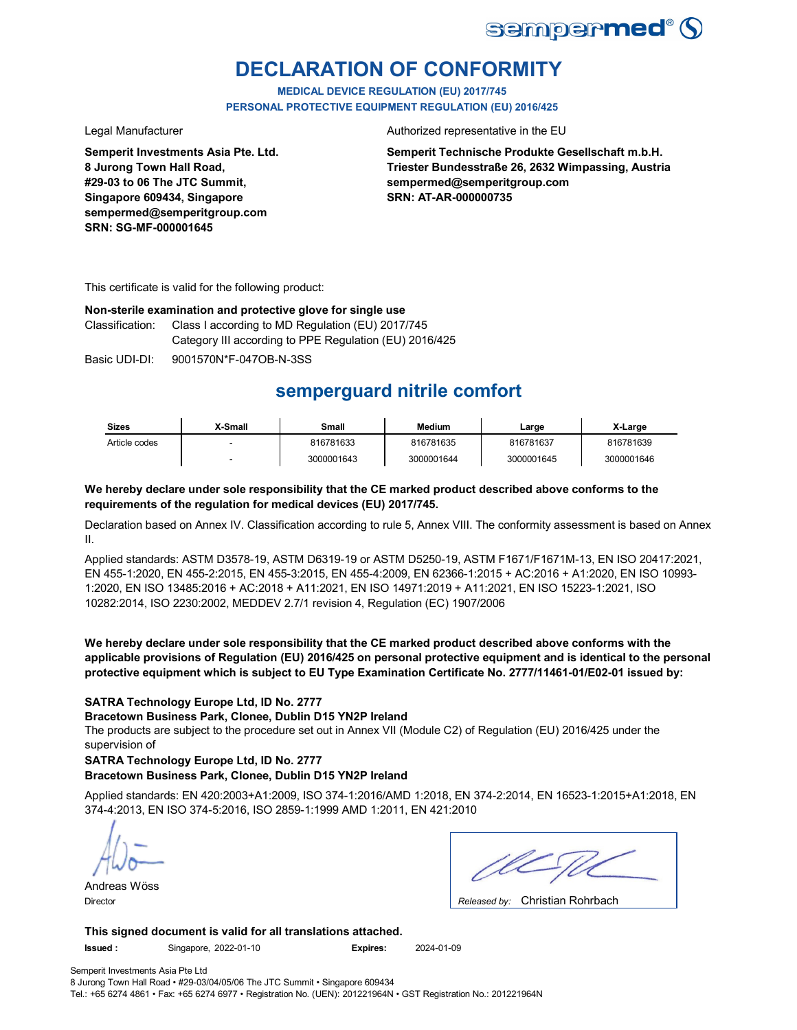

## **DECLARATION OF CONFORMITY**

**MEDICAL DEVICE REGULATION (EU) 2017/745 PERSONAL PROTECTIVE EQUIPMENT REGULATION (EU) 2016/425**

**Semperit Investments Asia Pte. Ltd. 8 Jurong Town Hall Road, #29-03 to 06 The JTC Summit, Singapore 609434, Singapore sempermed@semperitgroup.com SRN: SG-MF-000001645**

### Legal Manufacturer **Authorized representative in the EU**

**Semperit Technische Produkte Gesellschaft m.b.H. Triester Bundesstraße 26, 2632 Wimpassing, Austria sempermed@semperitgroup.com SRN: AT-AR-000000735**

This certificate is valid for the following product:

## **Non-sterile examination and protective glove for single use**

Classification: Class I according to MD Regulation (EU) 2017/745 Category III according to PPE Regulation (EU) 2016/425

Basic UDI-DI: 9001570N\*F-047OB-N-3SS

## **semperguard nitrile comfort**

| <b>Sizes</b>  | X-Small | Small      | <b>Medium</b> | ∟arge      | X-Large    |
|---------------|---------|------------|---------------|------------|------------|
| Article codes |         | 816781633  | 816781635     | 816781637  | 816781639  |
|               |         | 3000001643 | 3000001644    | 3000001645 | 3000001646 |

## **We hereby declare under sole responsibility that the CE marked product described above conforms to the requirements of the regulation for medical devices (EU) 2017/745.**

Declaration based on Annex IV. Classification according to rule 5, Annex VIII. The conformity assessment is based on Annex II.

Applied standards: ASTM D3578-19, ASTM D6319-19 or ASTM D5250-19, ASTM F1671/F1671M-13, EN ISO 20417:2021, EN 455-1:2020, EN 455-2:2015, EN 455-3:2015, EN 455-4:2009, EN 62366-1:2015 + AC:2016 + A1:2020, EN ISO 10993- 1:2020, EN ISO 13485:2016 + AC:2018 + A11:2021, EN ISO 14971:2019 + A11:2021, EN ISO 15223-1:2021, ISO 10282:2014, ISO 2230:2002, MEDDEV 2.7/1 revision 4, Regulation (EC) 1907/2006

**We hereby declare under sole responsibility that the CE marked product described above conforms with the applicable provisions of Regulation (EU) 2016/425 on personal protective equipment and is identical to the personal protective equipment which is subject to EU Type Examination Certificate No. 2777/11461-01/E02-01 issued by:**

## **SATRA Technology Europe Ltd, ID No. 2777**

**Bracetown Business Park, Clonee, Dublin D15 YN2P Ireland**

The products are subject to the procedure set out in Annex VII (Module C2) of Regulation (EU) 2016/425 under the supervision of

## **SATRA Technology Europe Ltd, ID No. 2777**

## **Bracetown Business Park, Clonee, Dublin D15 YN2P Ireland**

Applied standards: EN 420:2003+A1:2009, ISO 374-1:2016/AMD 1:2018, EN 374-2:2014, EN 16523-1:2015+A1:2018, EN 374-4:2013, EN ISO 374-5:2016, ISO 2859-1:1999 AMD 1:2011, EN 421:2010

Andreas Wöss

| $\bigcap$ basis of the $\bigcap$ of the latter state<br>. . |
|-------------------------------------------------------------|

Christian Rohrbach Director *Released by:* 

**This signed document is valid for all translations attached.**

**Issued :** Singapore, 2022-01-10 **Expires:** 2024-01-09

Semperit Investments Asia Pte Ltd 8 Jurong Town Hall Road • #29-03/04/05/06 The JTC Summit • Singapore 609434 Tel.: +65 6274 4861 • Fax: +65 6274 6977 • Registration No. (UEN): 201221964N • GST Registration No.: 201221964N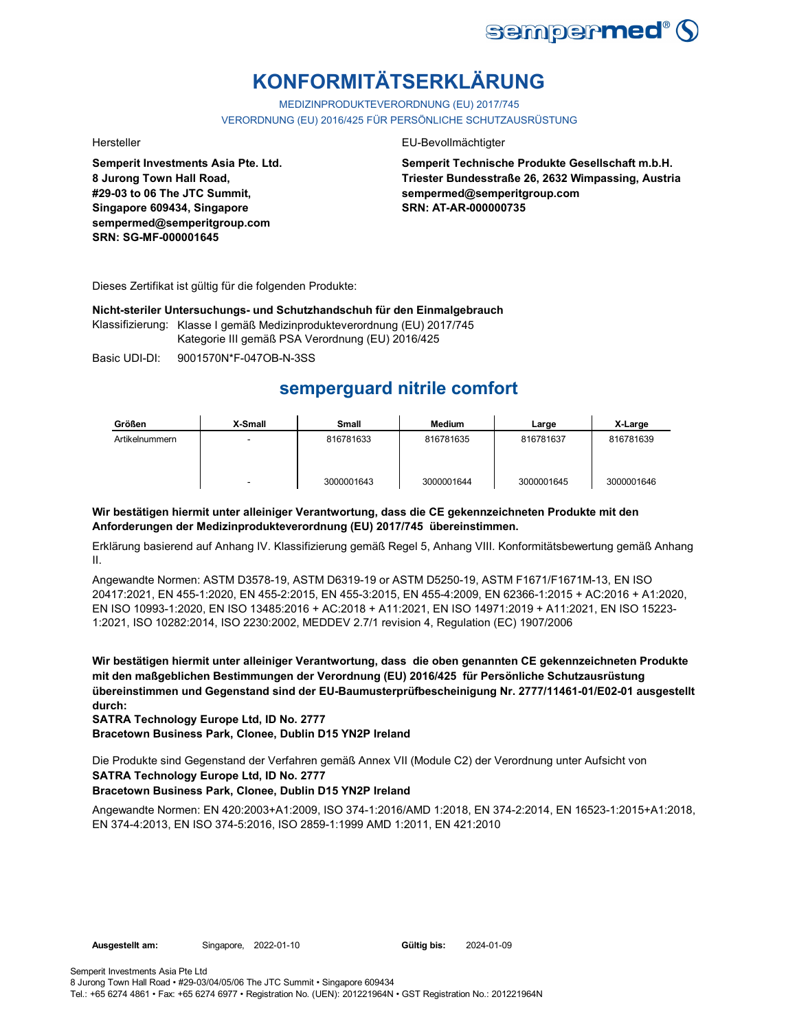

# **KONFORMITÄTSERKLÄRUNG**

MEDIZINPRODUKTEVERORDNUNG (EU) 2017/745 VERORDNUNG (EU) 2016/425 FÜR PERSÖNLICHE SCHUTZAUSRÜSTUNG

**Semperit Investments Asia Pte. Ltd. 8 Jurong Town Hall Road, #29-03 to 06 The JTC Summit, Singapore 609434, Singapore sempermed@semperitgroup.com SRN: SG-MF-000001645**

### Hersteller EU-Bevollmächtigter

**Semperit Technische Produkte Gesellschaft m.b.H. Triester Bundesstraße 26, 2632 Wimpassing, Austria sempermed@semperitgroup.com SRN: AT-AR-000000735**

Dieses Zertifikat ist gültig für die folgenden Produkte:

**Nicht-steriler Untersuchungs- und Schutzhandschuh für den Einmalgebrauch**

Klassifizierung: Klasse I gemäß Medizinprodukteverordnung (EU) 2017/745 Kategorie III gemäß PSA Verordnung (EU) 2016/425

Basic UDI-DI: 9001570N\*F-047OB-N-3SS

## **semperguard nitrile comfort**

| Größen         | X-Small | Small      | <b>Medium</b> | Large      | X-Large    |
|----------------|---------|------------|---------------|------------|------------|
| Artikelnummern |         | 816781633  | 816781635     | 816781637  | 816781639  |
|                |         | 3000001643 | 3000001644    | 3000001645 | 3000001646 |

## **Wir bestätigen hiermit unter alleiniger Verantwortung, dass die CE gekennzeichneten Produkte mit den Anforderungen der Medizinprodukteverordnung (EU) 2017/745 übereinstimmen.**

Erklärung basierend auf Anhang IV. Klassifizierung gemäß Regel 5, Anhang VIII. Konformitätsbewertung gemäß Anhang II.

Angewandte Normen: ASTM D3578-19, ASTM D6319-19 or ASTM D5250-19, ASTM F1671/F1671M-13, EN ISO 20417:2021, EN 455-1:2020, EN 455-2:2015, EN 455-3:2015, EN 455-4:2009, EN 62366-1:2015 + AC:2016 + A1:2020, EN ISO 10993-1:2020, EN ISO 13485:2016 + AC:2018 + A11:2021, EN ISO 14971:2019 + A11:2021, EN ISO 15223- 1:2021, ISO 10282:2014, ISO 2230:2002, MEDDEV 2.7/1 revision 4, Regulation (EC) 1907/2006

**Wir bestätigen hiermit unter alleiniger Verantwortung, dass die oben genannten CE gekennzeichneten Produkte mit den maßgeblichen Bestimmungen der Verordnung (EU) 2016/425 für Persönliche Schutzausrüstung übereinstimmen und Gegenstand sind der EU-Baumusterprüfbescheinigung Nr. 2777/11461-01/E02-01 ausgestellt durch:**

**SATRA Technology Europe Ltd, ID No. 2777**

**Bracetown Business Park, Clonee, Dublin D15 YN2P Ireland**

**SATRA Technology Europe Ltd, ID No. 2777** Die Produkte sind Gegenstand der Verfahren gemäß Annex VII (Module C2) der Verordnung unter Aufsicht von

## **Bracetown Business Park, Clonee, Dublin D15 YN2P Ireland**

Angewandte Normen: EN 420:2003+A1:2009, ISO 374-1:2016/AMD 1:2018, EN 374-2:2014, EN 16523-1:2015+A1:2018, EN 374-4:2013, EN ISO 374-5:2016, ISO 2859-1:1999 AMD 1:2011, EN 421:2010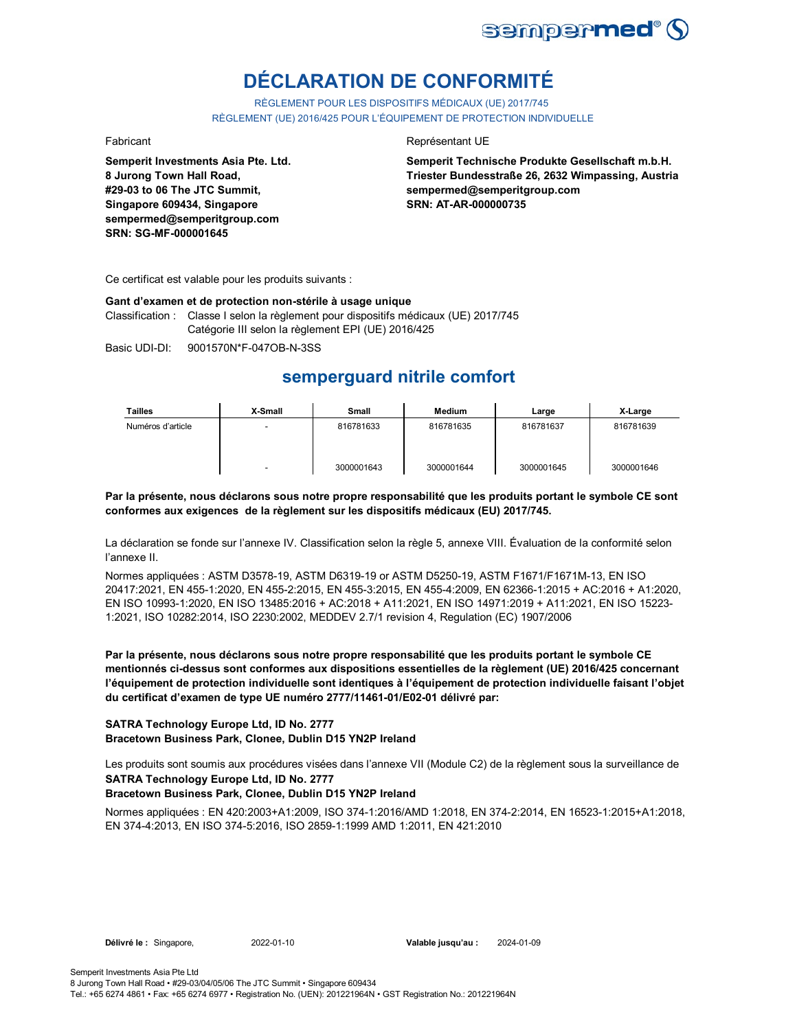

# **DÉCLARATION DE CONFORMITÉ**

RÈGLEMENT POUR LES DISPOSITIFS MÉDICAUX (UE) 2017/745 RÈGLEMENT (UE) 2016/425 POUR L'ÉQUIPEMENT DE PROTECTION INDIVIDUELLE

**Semperit Investments Asia Pte. Ltd. 8 Jurong Town Hall Road, #29-03 to 06 The JTC Summit, Singapore 609434, Singapore sempermed@semperitgroup.com SRN: SG-MF-000001645**

### Fabricant **Representant UE**

**Semperit Technische Produkte Gesellschaft m.b.H. Triester Bundesstraße 26, 2632 Wimpassing, Austria sempermed@semperitgroup.com SRN: AT-AR-000000735**

Ce certificat est valable pour les produits suivants :

#### **Gant d'examen et de protection non-stérile à usage unique**

Classification : Classe I selon la règlement pour dispositifs médicaux (UE) 2017/745 Catégorie III selon la règlement EPI (UE) 2016/425

Basic UDI-DI: 9001570N\*F-047OB-N-3SS

## **semperguard nitrile comfort**

| Tailles           | X-Small | Small      | <b>Medium</b> | Large      | X-Large    |
|-------------------|---------|------------|---------------|------------|------------|
| Numéros d'article |         | 816781633  | 816781635     | 816781637  | 816781639  |
|                   |         | 3000001643 | 3000001644    | 3000001645 | 3000001646 |

**Par la présente, nous déclarons sous notre propre responsabilité que les produits portant le symbole CE sont conformes aux exigences de la règlement sur les dispositifs médicaux (EU) 2017/745.**

La déclaration se fonde sur l'annexe IV. Classification selon la règle 5, annexe VIII. Évaluation de la conformité selon l'annexe II.

Normes appliquées : ASTM D3578-19, ASTM D6319-19 or ASTM D5250-19, ASTM F1671/F1671M-13, EN ISO 20417:2021, EN 455-1:2020, EN 455-2:2015, EN 455-3:2015, EN 455-4:2009, EN 62366-1:2015 + AC:2016 + A1:2020, EN ISO 10993-1:2020, EN ISO 13485:2016 + AC:2018 + A11:2021, EN ISO 14971:2019 + A11:2021, EN ISO 15223- 1:2021, ISO 10282:2014, ISO 2230:2002, MEDDEV 2.7/1 revision 4, Regulation (EC) 1907/2006

**Par la présente, nous déclarons sous notre propre responsabilité que les produits portant le symbole CE mentionnés ci-dessus sont conformes aux dispositions essentielles de la règlement (UE) 2016/425 concernant l'équipement de protection individuelle sont identiques à l'équipement de protection individuelle faisant l'objet du certificat d'examen de type UE numéro 2777/11461-01/E02-01 délivré par:**

### **SATRA Technology Europe Ltd, ID No. 2777 Bracetown Business Park, Clonee, Dublin D15 YN2P Ireland**

**SATRA Technology Europe Ltd, ID No. 2777** Les produits sont soumis aux procédures visées dans l'annexe VII (Module C2) de la règlement sous la surveillance de

## **Bracetown Business Park, Clonee, Dublin D15 YN2P Ireland**

Normes appliquées : EN 420:2003+A1:2009, ISO 374-1:2016/AMD 1:2018, EN 374-2:2014, EN 16523-1:2015+A1:2018, EN 374-4:2013, EN ISO 374-5:2016, ISO 2859-1:1999 AMD 1:2011, EN 421:2010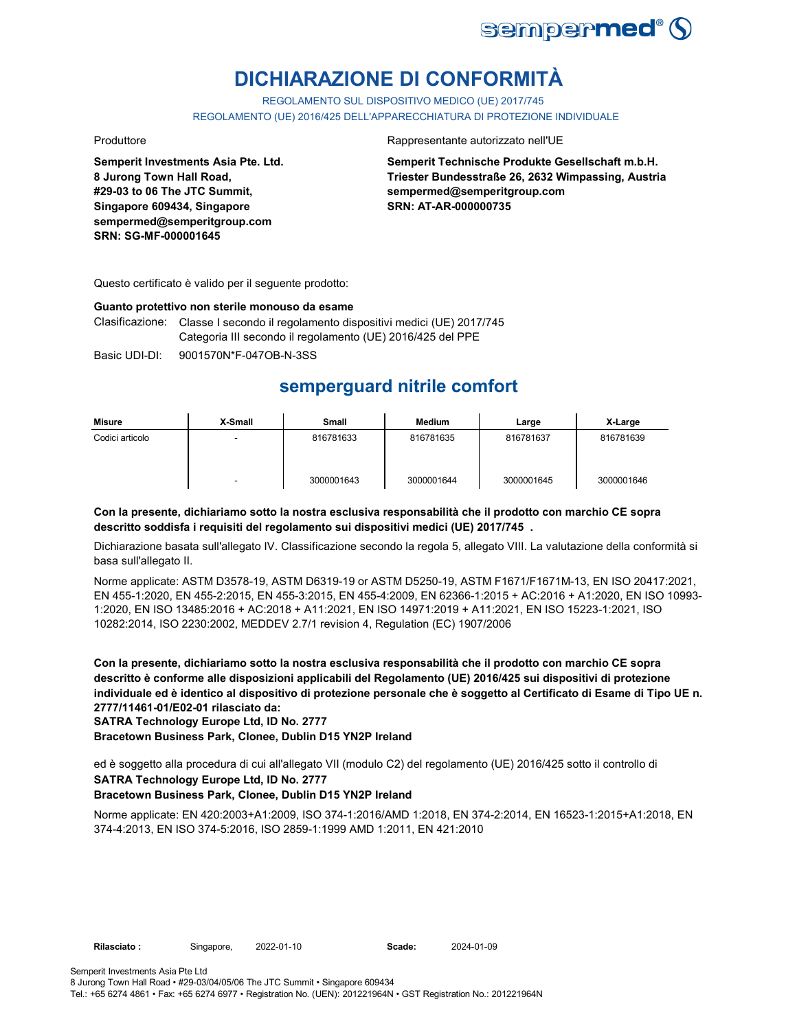

# **DICHIARAZIONE DI CONFORMITÀ**

REGOLAMENTO SUL DISPOSITIVO MEDICO (UE) 2017/745

REGOLAMENTO (UE) 2016/425 DELL'APPARECCHIATURA DI PROTEZIONE INDIVIDUALE

**Semperit Investments Asia Pte. Ltd. 8 Jurong Town Hall Road, #29-03 to 06 The JTC Summit, Singapore 609434, Singapore sempermed@semperitgroup.com SRN: SG-MF-000001645**

### Produttore Rappresentante autorizzato nell'UE

**Semperit Technische Produkte Gesellschaft m.b.H. Triester Bundesstraße 26, 2632 Wimpassing, Austria sempermed@semperitgroup.com SRN: AT-AR-000000735**

Questo certificato è valido per il seguente prodotto:

### **Guanto protettivo non sterile monouso da esame**

Clasificazione: Classe I secondo il regolamento dispositivi medici (UE) 2017/745 Categoria III secondo il regolamento (UE) 2016/425 del PPE

Basic UDI-DI: 9001570N\*F-047OB-N-3SS

## **semperguard nitrile comfort**

| Misure          | X-Small | <b>Small</b> | Medium     | Large      | X-Large    |
|-----------------|---------|--------------|------------|------------|------------|
| Codici articolo |         | 816781633    | 816781635  | 816781637  | 816781639  |
|                 | -       | 3000001643   | 3000001644 | 3000001645 | 3000001646 |

## **Con la presente, dichiariamo sotto la nostra esclusiva responsabilità che il prodotto con marchio CE sopra descritto soddisfa i requisiti del regolamento sui dispositivi medici (UE) 2017/745 .**

Dichiarazione basata sull'allegato IV. Classificazione secondo la regola 5, allegato VIII. La valutazione della conformità si basa sull'allegato II.

Norme applicate: ASTM D3578-19, ASTM D6319-19 or ASTM D5250-19, ASTM F1671/F1671M-13, EN ISO 20417:2021, EN 455-1:2020, EN 455-2:2015, EN 455-3:2015, EN 455-4:2009, EN 62366-1:2015 + AC:2016 + A1:2020, EN ISO 10993- 1:2020, EN ISO 13485:2016 + AC:2018 + A11:2021, EN ISO 14971:2019 + A11:2021, EN ISO 15223-1:2021, ISO 10282:2014, ISO 2230:2002, MEDDEV 2.7/1 revision 4, Regulation (EC) 1907/2006

**Con la presente, dichiariamo sotto la nostra esclusiva responsabilità che il prodotto con marchio CE sopra descritto è conforme alle disposizioni applicabili del Regolamento (UE) 2016/425 sui dispositivi di protezione individuale ed è identico al dispositivo di protezione personale che è soggetto al Certificato di Esame di Tipo UE n. 2777/11461-01/E02-01 rilasciato da:**

**SATRA Technology Europe Ltd, ID No. 2777**

**Bracetown Business Park, Clonee, Dublin D15 YN2P Ireland**

**SATRA Technology Europe Ltd, ID No. 2777** ed è soggetto alla procedura di cui all'allegato VII (modulo C2) del regolamento (UE) 2016/425 sotto il controllo di

## **Bracetown Business Park, Clonee, Dublin D15 YN2P Ireland**

Norme applicate: EN 420:2003+A1:2009, ISO 374-1:2016/AMD 1:2018, EN 374-2:2014, EN 16523-1:2015+A1:2018, EN 374-4:2013, EN ISO 374-5:2016, ISO 2859-1:1999 AMD 1:2011, EN 421:2010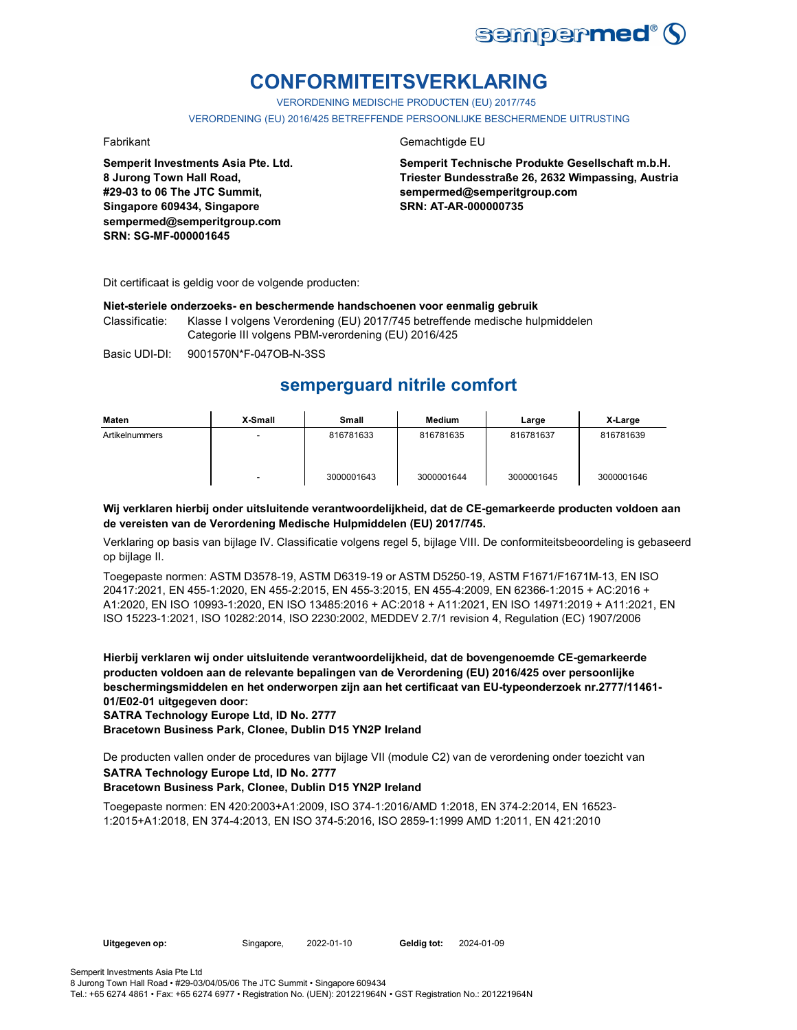

## **CONFORMITEITSVERKLARING**

VERORDENING MEDISCHE PRODUCTEN (EU) 2017/745

VERORDENING (EU) 2016/425 BETREFFENDE PERSOONLIJKE BESCHERMENDE UITRUSTING

**Semperit Investments Asia Pte. Ltd. 8 Jurong Town Hall Road, #29-03 to 06 The JTC Summit, Singapore 609434, Singapore sempermed@semperitgroup.com SRN: SG-MF-000001645**

## Fabrikant Gemachtigde EU

**Semperit Technische Produkte Gesellschaft m.b.H. Triester Bundesstraße 26, 2632 Wimpassing, Austria sempermed@semperitgroup.com SRN: AT-AR-000000735**

Dit certificaat is geldig voor de volgende producten:

## **Niet-steriele onderzoeks- en beschermende handschoenen voor eenmalig gebruik**

Classificatie: Klasse I volgens Verordening (EU) 2017/745 betreffende medische hulpmiddelen Categorie III volgens PBM-verordening (EU) 2016/425

Basic UDI-DI: 9001570N\*F-047OB-N-3SS

## **semperguard nitrile comfort**

| Maten          | X-Small | Small      | Medium     | Large      | X-Large    |
|----------------|---------|------------|------------|------------|------------|
| Artikelnummers | -       | 816781633  | 816781635  | 816781637  | 816781639  |
|                | -       | 3000001643 | 3000001644 | 3000001645 | 3000001646 |

## **Wij verklaren hierbij onder uitsluitende verantwoordelijkheid, dat de CE-gemarkeerde producten voldoen aan de vereisten van de Verordening Medische Hulpmiddelen (EU) 2017/745.**

Verklaring op basis van bijlage IV. Classificatie volgens regel 5, bijlage VIII. De conformiteitsbeoordeling is gebaseerd op bijlage II.

Toegepaste normen: ASTM D3578-19, ASTM D6319-19 or ASTM D5250-19, ASTM F1671/F1671M-13, EN ISO 20417:2021, EN 455-1:2020, EN 455-2:2015, EN 455-3:2015, EN 455-4:2009, EN 62366-1:2015 + AC:2016 + A1:2020, EN ISO 10993-1:2020, EN ISO 13485:2016 + AC:2018 + A11:2021, EN ISO 14971:2019 + A11:2021, EN ISO 15223-1:2021, ISO 10282:2014, ISO 2230:2002, MEDDEV 2.7/1 revision 4, Regulation (EC) 1907/2006

**Hierbij verklaren wij onder uitsluitende verantwoordelijkheid, dat de bovengenoemde CE-gemarkeerde producten voldoen aan de relevante bepalingen van de Verordening (EU) 2016/425 over persoonlijke beschermingsmiddelen en het onderworpen zijn aan het certificaat van EU-typeonderzoek nr.2777/11461- 01/E02-01 uitgegeven door:**

**SATRA Technology Europe Ltd, ID No. 2777**

**Bracetown Business Park, Clonee, Dublin D15 YN2P Ireland**

**SATRA Technology Europe Ltd, ID No. 2777** De producten vallen onder de procedures van bijlage VII (module C2) van de verordening onder toezicht van

## **Bracetown Business Park, Clonee, Dublin D15 YN2P Ireland**

Toegepaste normen: EN 420:2003+A1:2009, ISO 374-1:2016/AMD 1:2018, EN 374-2:2014, EN 16523- 1:2015+A1:2018, EN 374-4:2013, EN ISO 374-5:2016, ISO 2859-1:1999 AMD 1:2011, EN 421:2010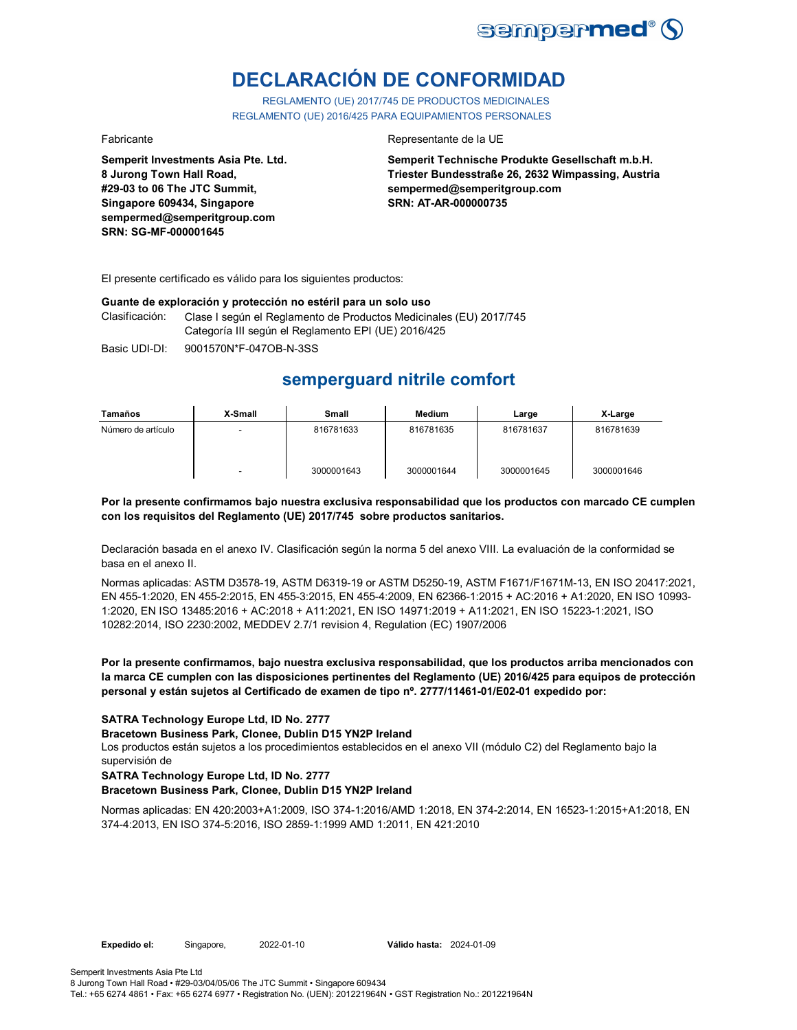

# **DECLARACIÓN DE CONFORMIDAD**

REGLAMENTO (UE) 2017/745 DE PRODUCTOS MEDICINALES REGLAMENTO (UE) 2016/425 PARA EQUIPAMIENTOS PERSONALES

**Semperit Investments Asia Pte. Ltd. 8 Jurong Town Hall Road, #29-03 to 06 The JTC Summit, Singapore 609434, Singapore sempermed@semperitgroup.com SRN: SG-MF-000001645**

### Fabricante Representante de la UE

**Semperit Technische Produkte Gesellschaft m.b.H. Triester Bundesstraße 26, 2632 Wimpassing, Austria sempermed@semperitgroup.com SRN: AT-AR-000000735**

El presente certificado es válido para los siguientes productos:

## **Guante de exploración y protección no estéril para un solo uso**

Clasificación: Clase I según el Reglamento de Productos Medicinales (EU) 2017/745 Categoría III según el Reglamento EPI (UE) 2016/425

Basic UDI-DI: 9001570N\*F-047OB-N-3SS

## **semperguard nitrile comfort**

| Tamaños            | X-Small                  | Small      | Medium     | Large      | X-Large    |
|--------------------|--------------------------|------------|------------|------------|------------|
| Número de artículo | $\overline{\phantom{0}}$ | 816781633  | 816781635  | 816781637  | 816781639  |
|                    | $\overline{\phantom{0}}$ | 3000001643 | 3000001644 | 3000001645 | 3000001646 |

## **Por la presente confirmamos bajo nuestra exclusiva responsabilidad que los productos con marcado CE cumplen con los requisitos del Reglamento (UE) 2017/745 sobre productos sanitarios.**

Declaración basada en el anexo IV. Clasificación según la norma 5 del anexo VIII. La evaluación de la conformidad se basa en el anexo II.

Normas aplicadas: ASTM D3578-19, ASTM D6319-19 or ASTM D5250-19, ASTM F1671/F1671M-13, EN ISO 20417:2021, EN 455-1:2020, EN 455-2:2015, EN 455-3:2015, EN 455-4:2009, EN 62366-1:2015 + AC:2016 + A1:2020, EN ISO 10993- 1:2020, EN ISO 13485:2016 + AC:2018 + A11:2021, EN ISO 14971:2019 + A11:2021, EN ISO 15223-1:2021, ISO 10282:2014, ISO 2230:2002, MEDDEV 2.7/1 revision 4, Regulation (EC) 1907/2006

## **Por la presente confirmamos, bajo nuestra exclusiva responsabilidad, que los productos arriba mencionados con la marca CE cumplen con las disposiciones pertinentes del Reglamento (UE) 2016/425 para equipos de protección personal y están sujetos al Certificado de examen de tipo nº. 2777/11461-01/E02-01 expedido por:**

## **SATRA Technology Europe Ltd, ID No. 2777**

### **Bracetown Business Park, Clonee, Dublin D15 YN2P Ireland**

Los productos están sujetos a los procedimientos establecidos en el anexo VII (módulo C2) del Reglamento bajo la supervisión de

### **SATRA Technology Europe Ltd, ID No. 2777**

## **Bracetown Business Park, Clonee, Dublin D15 YN2P Ireland**

Normas aplicadas: EN 420:2003+A1:2009, ISO 374-1:2016/AMD 1:2018, EN 374-2:2014, EN 16523-1:2015+A1:2018, EN 374-4:2013, EN ISO 374-5:2016, ISO 2859-1:1999 AMD 1:2011, EN 421:2010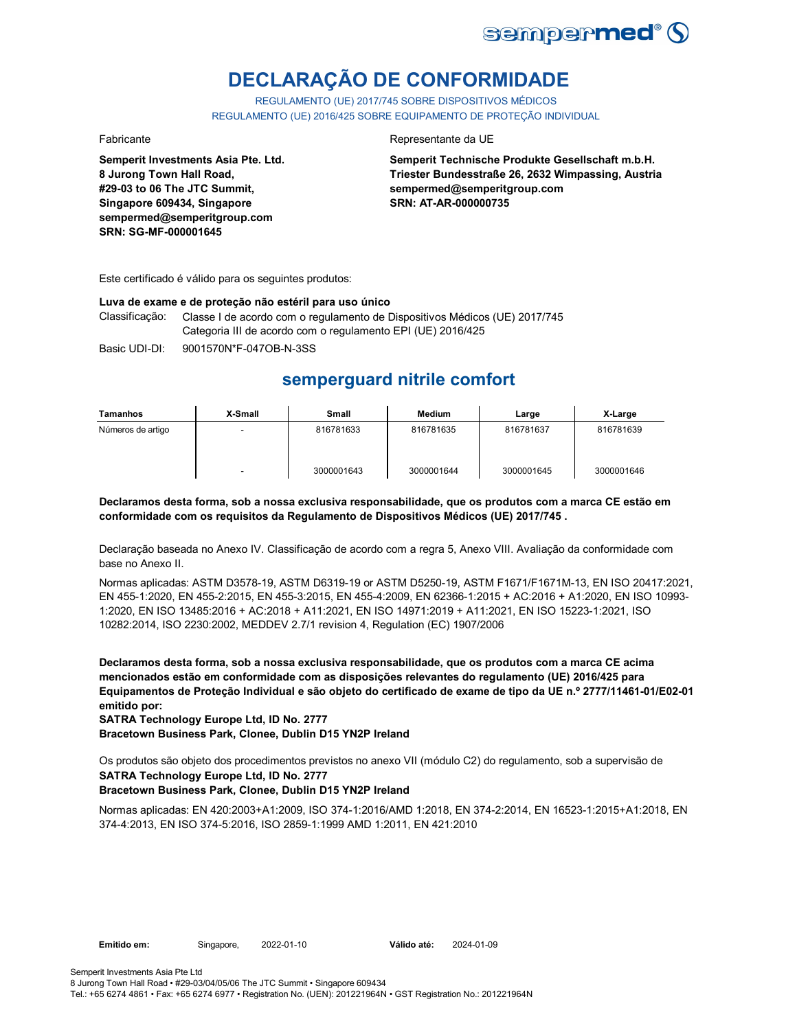

# **DECLARAÇÃO DE CONFORMIDADE**

REGULAMENTO (UE) 2017/745 SOBRE DISPOSITIVOS MÉDICOS REGULAMENTO (UE) 2016/425 SOBRE EQUIPAMENTO DE PROTEÇÃO INDIVIDUAL

**Semperit Investments Asia Pte. Ltd. 8 Jurong Town Hall Road, #29-03 to 06 The JTC Summit, Singapore 609434, Singapore sempermed@semperitgroup.com SRN: SG-MF-000001645**

## Fabricante Representante da UE

**Semperit Technische Produkte Gesellschaft m.b.H. Triester Bundesstraße 26, 2632 Wimpassing, Austria sempermed@semperitgroup.com SRN: AT-AR-000000735**

Este certificado é válido para os seguintes produtos:

### **Luva de exame e de proteção não estéril para uso único**

Classificação: Classe I de acordo com o regulamento de Dispositivos Médicos (UE) 2017/745 Categoria III de acordo com o regulamento EPI (UE) 2016/425

Basic UDI-DI: 9001570N\*F-047OB-N-3SS

## **semperguard nitrile comfort**

| Tamanhos          | X-Small                  | Small      | <b>Medium</b> | Large      | X-Large    |
|-------------------|--------------------------|------------|---------------|------------|------------|
| Números de artigo | -                        | 816781633  | 816781635     | 816781637  | 816781639  |
|                   | $\overline{\phantom{0}}$ | 3000001643 | 3000001644    | 3000001645 | 3000001646 |

## **Declaramos desta forma, sob a nossa exclusiva responsabilidade, que os produtos com a marca CE estão em conformidade com os requisitos da Regulamento de Dispositivos Médicos (UE) 2017/745 .**

Declaração baseada no Anexo IV. Classificação de acordo com a regra 5, Anexo VIII. Avaliação da conformidade com base no Anexo II.

Normas aplicadas: ASTM D3578-19, ASTM D6319-19 or ASTM D5250-19, ASTM F1671/F1671M-13, EN ISO 20417:2021, EN 455-1:2020, EN 455-2:2015, EN 455-3:2015, EN 455-4:2009, EN 62366-1:2015 + AC:2016 + A1:2020, EN ISO 10993- 1:2020, EN ISO 13485:2016 + AC:2018 + A11:2021, EN ISO 14971:2019 + A11:2021, EN ISO 15223-1:2021, ISO 10282:2014, ISO 2230:2002, MEDDEV 2.7/1 revision 4, Regulation (EC) 1907/2006

**Declaramos desta forma, sob a nossa exclusiva responsabilidade, que os produtos com a marca CE acima mencionados estão em conformidade com as disposições relevantes do regulamento (UE) 2016/425 para Equipamentos de Proteção Individual e são objeto do certificado de exame de tipo da UE n.º 2777/11461-01/E02-01 emitido por:**

**SATRA Technology Europe Ltd, ID No. 2777**

**Bracetown Business Park, Clonee, Dublin D15 YN2P Ireland**

**SATRA Technology Europe Ltd, ID No. 2777** Os produtos são objeto dos procedimentos previstos no anexo VII (módulo C2) do regulamento, sob a supervisão de

## **Bracetown Business Park, Clonee, Dublin D15 YN2P Ireland**

Normas aplicadas: EN 420:2003+A1:2009, ISO 374-1:2016/AMD 1:2018, EN 374-2:2014, EN 16523-1:2015+A1:2018, EN 374-4:2013, EN ISO 374-5:2016, ISO 2859-1:1999 AMD 1:2011, EN 421:2010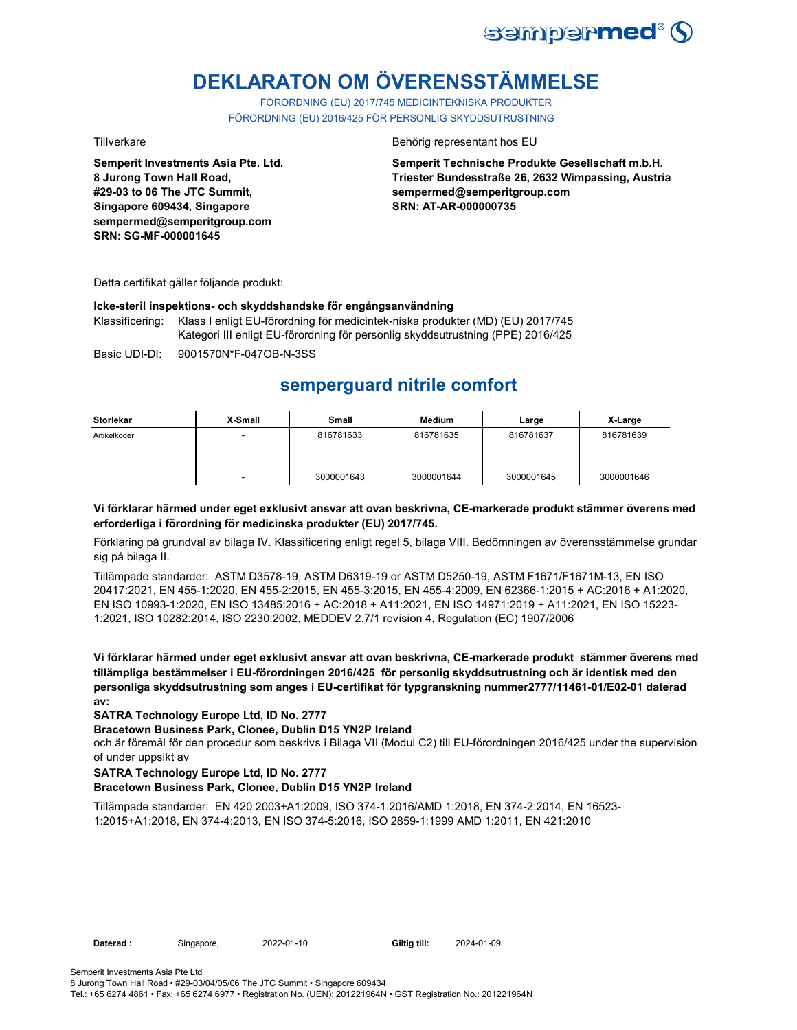

# **DEKLARATON OM ÖVERENSSTÄMMELSE**

FÖRORDNING (EU) 2017/745 MEDICINTEKNISKA PRODUKTER FÖRORDNING (EU) 2016/425 FÖR PERSONLIG SKYDDSUTRUSTNING

**Semperit Investments Asia Pte. Ltd. 8 Jurong Town Hall Road, #29-03 to 06 The JTC Summit, Singapore 609434, Singapore sempermed@semperitgroup.com SRN: SG-MF-000001645**

Tillverkare Behörig representant hos EU

**Semperit Technische Produkte Gesellschaft m.b.H. Triester Bundesstraße 26, 2632 Wimpassing, Austria sempermed@semperitgroup.com SRN: AT-AR-000000735**

Detta certifikat gäller följande produkt:

## **Icke-steril inspektions- och skyddshandske för engångsanvändning**

Klassificering: Klass I enligt EU-förordning för medicintek-niska produkter (MD) (EU) 2017/745 Kategori III enligt EU-förordning för personlig skyddsutrustning (PPE) 2016/425

Basic UDI-DI: 9001570N\*F-047OB-N-3SS

## **semperguard nitrile comfort**

| <b>Storlekar</b> | X-Small | <b>Small</b> | <b>Medium</b> | Large      | X-Large    |
|------------------|---------|--------------|---------------|------------|------------|
| Artikelkoder     | -       | 816781633    | 816781635     | 816781637  | 816781639  |
|                  |         | 3000001643   | 3000001644    | 3000001645 | 3000001646 |

## **Vi förklarar härmed under eget exklusivt ansvar att ovan beskrivna, CE-markerade produkt stämmer överens med erforderliga i förordning för medicinska produkter (EU) 2017/745.**

Förklaring på grundval av bilaga IV. Klassificering enligt regel 5, bilaga VIII. Bedömningen av överensstämmelse grundar sig på bilaga II.

Tillämpade standarder: ASTM D3578-19, ASTM D6319-19 or ASTM D5250-19, ASTM F1671/F1671M-13, EN ISO 20417:2021, EN 455-1:2020, EN 455-2:2015, EN 455-3:2015, EN 455-4:2009, EN 62366-1:2015 + AC:2016 + A1:2020, EN ISO 10993-1:2020, EN ISO 13485:2016 + AC:2018 + A11:2021, EN ISO 14971:2019 + A11:2021, EN ISO 15223- 1:2021, ISO 10282:2014, ISO 2230:2002, MEDDEV 2.7/1 revision 4, Regulation (EC) 1907/2006

**Vi förklarar härmed under eget exklusivt ansvar att ovan beskrivna, CE-markerade produkt stämmer överens med tillämpliga bestämmelser i EU-förordningen 2016/425 för personlig skyddsutrustning och är identisk med den personliga skyddsutrustning som anges i EU-certifikat för typgranskning nummer2777/11461-01/E02-01 daterad av:**

## **SATRA Technology Europe Ltd, ID No. 2777**

### **Bracetown Business Park, Clonee, Dublin D15 YN2P Ireland**

och är föremål för den procedur som beskrivs i Bilaga VII (Modul C2) till EU-förordningen 2016/425 under the supervision of under uppsikt av

## **SATRA Technology Europe Ltd, ID No. 2777**

### **Bracetown Business Park, Clonee, Dublin D15 YN2P Ireland**

Tillämpade standarder: EN 420:2003+A1:2009, ISO 374-1:2016/AMD 1:2018, EN 374-2:2014, EN 16523- 1:2015+A1:2018, EN 374-4:2013, EN ISO 374-5:2016, ISO 2859-1:1999 AMD 1:2011, EN 421:2010

**Daterad :** Singapore, 2022-01-10 **Giltig till:** 2024-01-09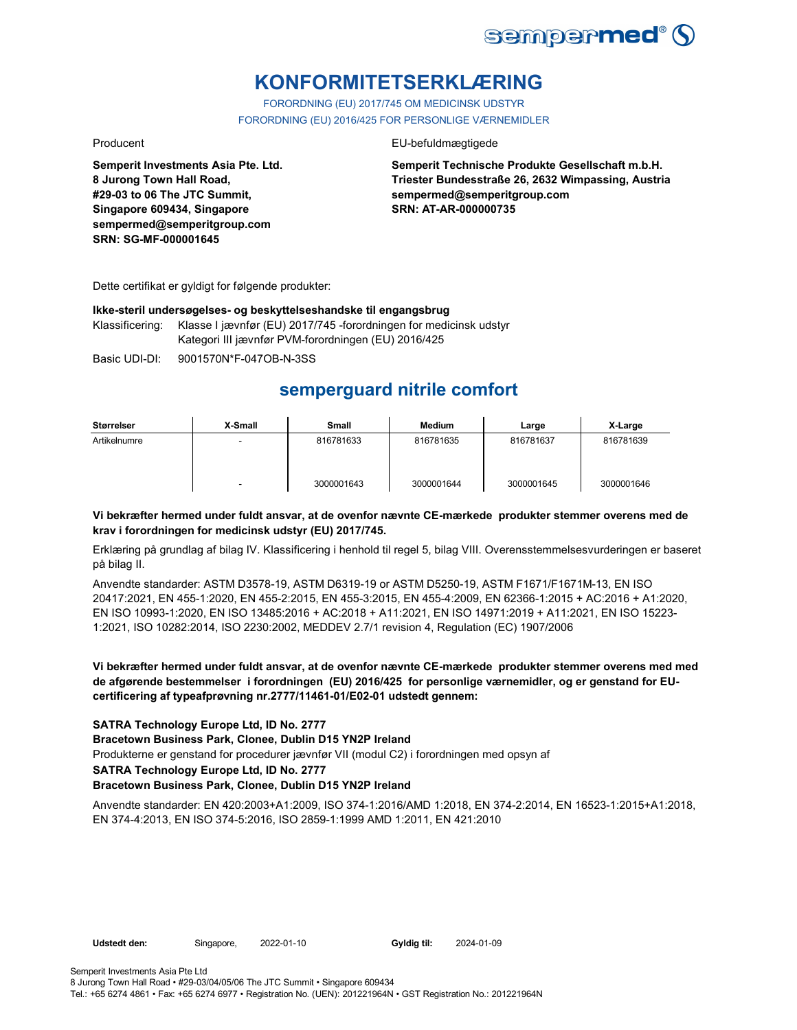

## **KONFORMITETSERKLÆRING**

FORORDNING (EU) 2017/745 OM MEDICINSK UDSTYR FORORDNING (EU) 2016/425 FOR PERSONLIGE VÆRNEMIDLER

**Semperit Investments Asia Pte. Ltd. 8 Jurong Town Hall Road, #29-03 to 06 The JTC Summit, Singapore 609434, Singapore sempermed@semperitgroup.com SRN: SG-MF-000001645**

## Producent EU-befuldmægtigede

**Semperit Technische Produkte Gesellschaft m.b.H. Triester Bundesstraße 26, 2632 Wimpassing, Austria sempermed@semperitgroup.com SRN: AT-AR-000000735**

Dette certifikat er gyldigt for følgende produkter:

## **Ikke-steril undersøgelses- og beskyttelseshandske til engangsbrug**

Klassificering: Klasse I jævnfør (EU) 2017/745 -forordningen for medicinsk udstyr Kategori III jævnfør PVM-forordningen (EU) 2016/425

Basic UDI-DI: 9001570N\*F-047OB-N-3SS

## **semperguard nitrile comfort**

| Størrelser   | X-Small                  | Small      | <b>Medium</b> | Large      | X-Large    |
|--------------|--------------------------|------------|---------------|------------|------------|
| Artikelnumre |                          | 816781633  | 816781635     | 816781637  | 816781639  |
|              | $\overline{\phantom{a}}$ | 3000001643 | 3000001644    | 3000001645 | 3000001646 |

## **Vi bekræfter hermed under fuldt ansvar, at de ovenfor nævnte CE-mærkede produkter stemmer overens med de krav i forordningen for medicinsk udstyr (EU) 2017/745.**

Erklæring på grundlag af bilag IV. Klassificering i henhold til regel 5, bilag VIII. Overensstemmelsesvurderingen er baseret på bilag II.

Anvendte standarder: ASTM D3578-19, ASTM D6319-19 or ASTM D5250-19, ASTM F1671/F1671M-13, EN ISO 20417:2021, EN 455-1:2020, EN 455-2:2015, EN 455-3:2015, EN 455-4:2009, EN 62366-1:2015 + AC:2016 + A1:2020, EN ISO 10993-1:2020, EN ISO 13485:2016 + AC:2018 + A11:2021, EN ISO 14971:2019 + A11:2021, EN ISO 15223- 1:2021, ISO 10282:2014, ISO 2230:2002, MEDDEV 2.7/1 revision 4, Regulation (EC) 1907/2006

## **Vi bekræfter hermed under fuldt ansvar, at de ovenfor nævnte CE-mærkede produkter stemmer overens med med de afgørende bestemmelser i forordningen (EU) 2016/425 for personlige værnemidler, og er genstand for EUcertificering af typeafprøvning nr.2777/11461-01/E02-01 udstedt gennem:**

## **SATRA Technology Europe Ltd, ID No. 2777**

### **Bracetown Business Park, Clonee, Dublin D15 YN2P Ireland**

Produkterne er genstand for procedurer jævnfør VII (modul C2) i forordningen med opsyn af

### **SATRA Technology Europe Ltd, ID No. 2777**

### **Bracetown Business Park, Clonee, Dublin D15 YN2P Ireland**

Anvendte standarder: EN 420:2003+A1:2009, ISO 374-1:2016/AMD 1:2018, EN 374-2:2014, EN 16523-1:2015+A1:2018, EN 374-4:2013, EN ISO 374-5:2016, ISO 2859-1:1999 AMD 1:2011, EN 421:2010

**Udstedt den:** Singapore, 2022-01-10 **Gyldig til:** 2024-01-09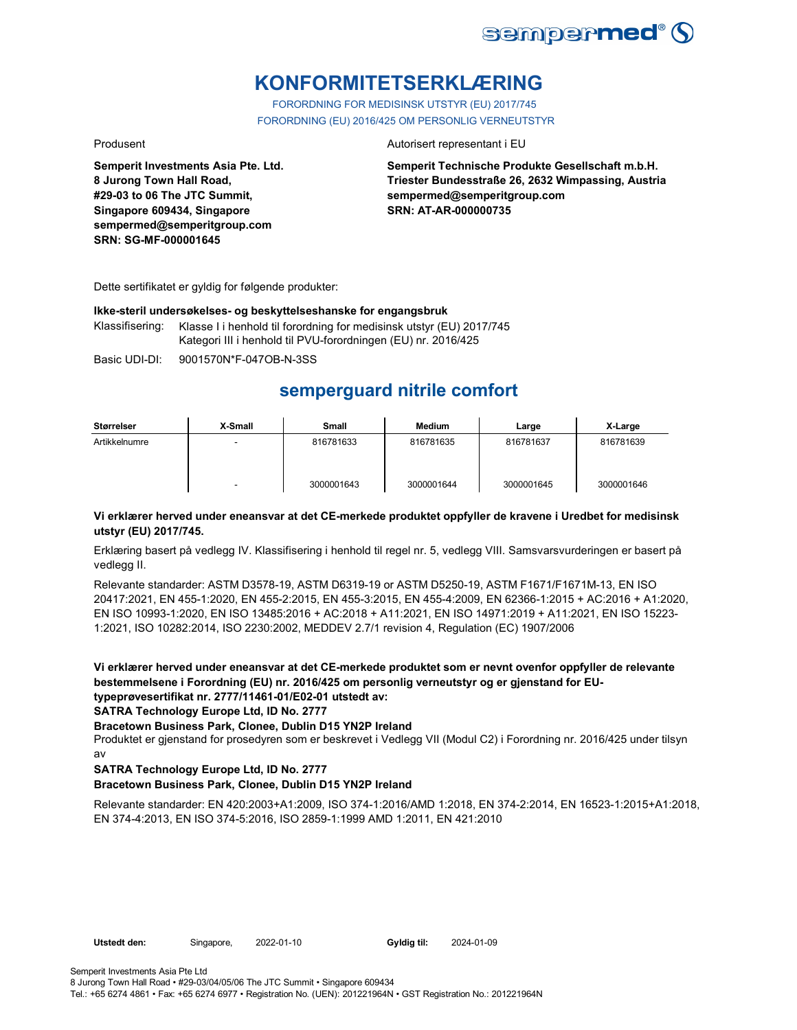

## **KONFORMITETSERKLÆRING**

FORORDNING FOR MEDISINSK UTSTYR (EU) 2017/745 FORORDNING (EU) 2016/425 OM PERSONLIG VERNEUTSTYR

**Semperit Investments Asia Pte. Ltd. 8 Jurong Town Hall Road, #29-03 to 06 The JTC Summit, Singapore 609434, Singapore sempermed@semperitgroup.com SRN: SG-MF-000001645**

## Produsent **Autorisert representant i EU**

**Semperit Technische Produkte Gesellschaft m.b.H. Triester Bundesstraße 26, 2632 Wimpassing, Austria sempermed@semperitgroup.com SRN: AT-AR-000000735**

Dette sertifikatet er gyldig for følgende produkter:

## **Ikke-steril undersøkelses- og beskyttelseshanske for engangsbruk**

Klassifisering: Klasse I i henhold til forordning for medisinsk utstyr (EU) 2017/745 Kategori III i henhold til PVU-forordningen (EU) nr. 2016/425

Basic UDI-DI: 9001570N\*F-047OB-N-3SS

## **semperguard nitrile comfort**

| <b>Størrelser</b> | X-Small | <b>Small</b> | Medium     | Large      | X-Large    |
|-------------------|---------|--------------|------------|------------|------------|
| Artikkelnumre     | -       | 816781633    | 816781635  | 816781637  | 816781639  |
|                   | -       | 3000001643   | 3000001644 | 3000001645 | 3000001646 |

## **Vi erklærer herved under eneansvar at det CE-merkede produktet oppfyller de kravene i Uredbet for medisinsk utstyr (EU) 2017/745.**

Erklæring basert på vedlegg IV. Klassifisering i henhold til regel nr. 5, vedlegg VIII. Samsvarsvurderingen er basert på vedlegg II.

Relevante standarder: ASTM D3578-19, ASTM D6319-19 or ASTM D5250-19, ASTM F1671/F1671M-13, EN ISO 20417:2021, EN 455-1:2020, EN 455-2:2015, EN 455-3:2015, EN 455-4:2009, EN 62366-1:2015 + AC:2016 + A1:2020, EN ISO 10993-1:2020, EN ISO 13485:2016 + AC:2018 + A11:2021, EN ISO 14971:2019 + A11:2021, EN ISO 15223- 1:2021, ISO 10282:2014, ISO 2230:2002, MEDDEV 2.7/1 revision 4, Regulation (EC) 1907/2006

**Vi erklærer herved under eneansvar at det CE-merkede produktet som er nevnt ovenfor oppfyller de relevante bestemmelsene i Forordning (EU) nr. 2016/425 om personlig verneutstyr og er gjenstand for EUtypeprøvesertifikat nr. 2777/11461-01/E02-01 utstedt av:**

**SATRA Technology Europe Ltd, ID No. 2777**

**Bracetown Business Park, Clonee, Dublin D15 YN2P Ireland**

Produktet er gjenstand for prosedyren som er beskrevet i Vedlegg VII (Modul C2) i Forordning nr. 2016/425 under tilsyn av

## **SATRA Technology Europe Ltd, ID No. 2777**

## **Bracetown Business Park, Clonee, Dublin D15 YN2P Ireland**

Relevante standarder: EN 420:2003+A1:2009, ISO 374-1:2016/AMD 1:2018, EN 374-2:2014, EN 16523-1:2015+A1:2018, EN 374-4:2013, EN ISO 374-5:2016, ISO 2859-1:1999 AMD 1:2011, EN 421:2010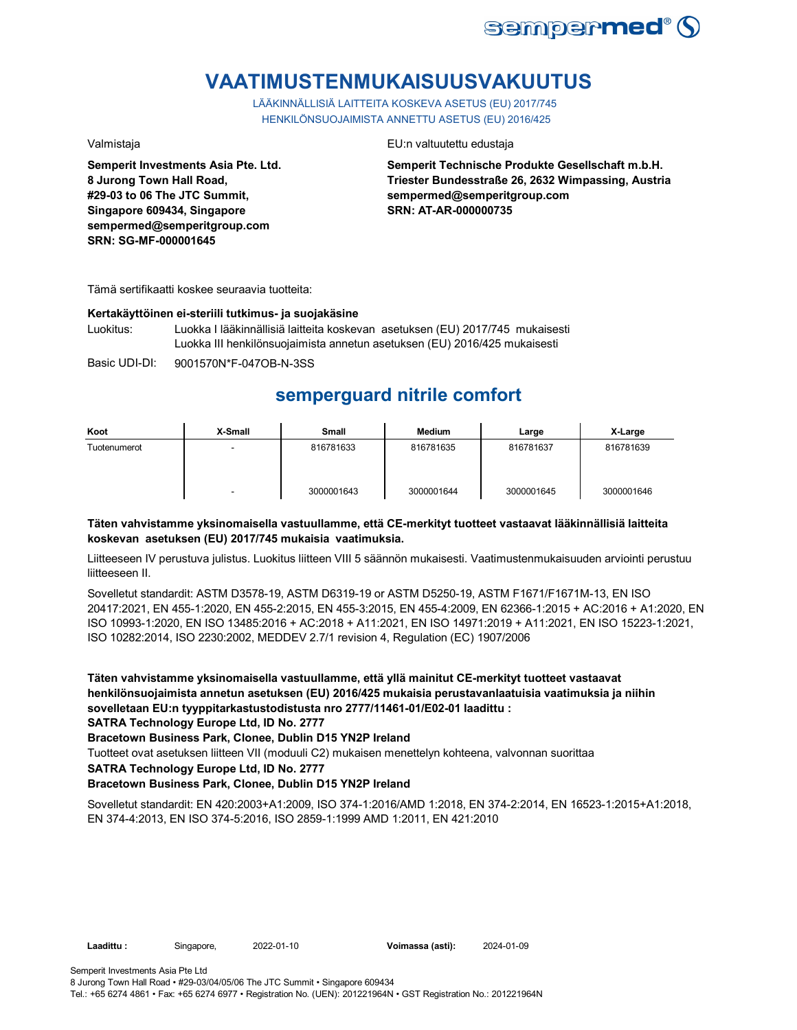

## **VAATIMUSTENMUKAISUUSVAKUUTUS**

LÄÄKINNÄLLISIÄ LAITTEITA KOSKEVA ASETUS (EU) 2017/745 HENKILÖNSUOJAIMISTA ANNETTU ASETUS (EU) 2016/425

**Semperit Investments Asia Pte. Ltd. 8 Jurong Town Hall Road, #29-03 to 06 The JTC Summit, Singapore 609434, Singapore sempermed@semperitgroup.com SRN: SG-MF-000001645**

## Valmistaja EU:n valtuutettu edustaja

**Semperit Technische Produkte Gesellschaft m.b.H. Triester Bundesstraße 26, 2632 Wimpassing, Austria sempermed@semperitgroup.com SRN: AT-AR-000000735**

Tämä sertifikaatti koskee seuraavia tuotteita:

### **Kertakäyttöinen ei-steriili tutkimus- ja suojakäsine**

Luokitus: Luokka I lääkinnällisiä laitteita koskevan asetuksen (EU) 2017/745 mukaisesti Luokka III henkilönsuojaimista annetun asetuksen (EU) 2016/425 mukaisesti

Basic UDI-DI: 9001570N\*F-047OB-N-3SS

## **semperguard nitrile comfort**

| Koot         | X-Small | Small      | <b>Medium</b> | Large      | X-Large    |
|--------------|---------|------------|---------------|------------|------------|
| Tuotenumerot | -       | 816781633  | 816781635     | 816781637  | 816781639  |
|              | -       | 3000001643 | 3000001644    | 3000001645 | 3000001646 |

## **Täten vahvistamme yksinomaisella vastuullamme, että CE-merkityt tuotteet vastaavat lääkinnällisiä laitteita koskevan asetuksen (EU) 2017/745 mukaisia vaatimuksia.**

Liitteeseen IV perustuva julistus. Luokitus liitteen VIII 5 säännön mukaisesti. Vaatimustenmukaisuuden arviointi perustuu liitteeseen II.

Sovelletut standardit: ASTM D3578-19, ASTM D6319-19 or ASTM D5250-19, ASTM F1671/F1671M-13, EN ISO 20417:2021, EN 455-1:2020, EN 455-2:2015, EN 455-3:2015, EN 455-4:2009, EN 62366-1:2015 + AC:2016 + A1:2020, EN ISO 10993-1:2020, EN ISO 13485:2016 + AC:2018 + A11:2021, EN ISO 14971:2019 + A11:2021, EN ISO 15223-1:2021, ISO 10282:2014, ISO 2230:2002, MEDDEV 2.7/1 revision 4, Regulation (EC) 1907/2006

**Täten vahvistamme yksinomaisella vastuullamme, että yllä mainitut CE-merkityt tuotteet vastaavat henkilönsuojaimista annetun asetuksen (EU) 2016/425 mukaisia perustavanlaatuisia vaatimuksia ja niihin sovelletaan EU:n tyyppitarkastustodistusta nro 2777/11461-01/E02-01 laadittu :**

**SATRA Technology Europe Ltd, ID No. 2777**

**Bracetown Business Park, Clonee, Dublin D15 YN2P Ireland**

Tuotteet ovat asetuksen liitteen VII (moduuli C2) mukaisen menettelyn kohteena, valvonnan suorittaa

**SATRA Technology Europe Ltd, ID No. 2777**

## **Bracetown Business Park, Clonee, Dublin D15 YN2P Ireland**

Sovelletut standardit: EN 420:2003+A1:2009, ISO 374-1:2016/AMD 1:2018, EN 374-2:2014, EN 16523-1:2015+A1:2018, EN 374-4:2013, EN ISO 374-5:2016, ISO 2859-1:1999 AMD 1:2011, EN 421:2010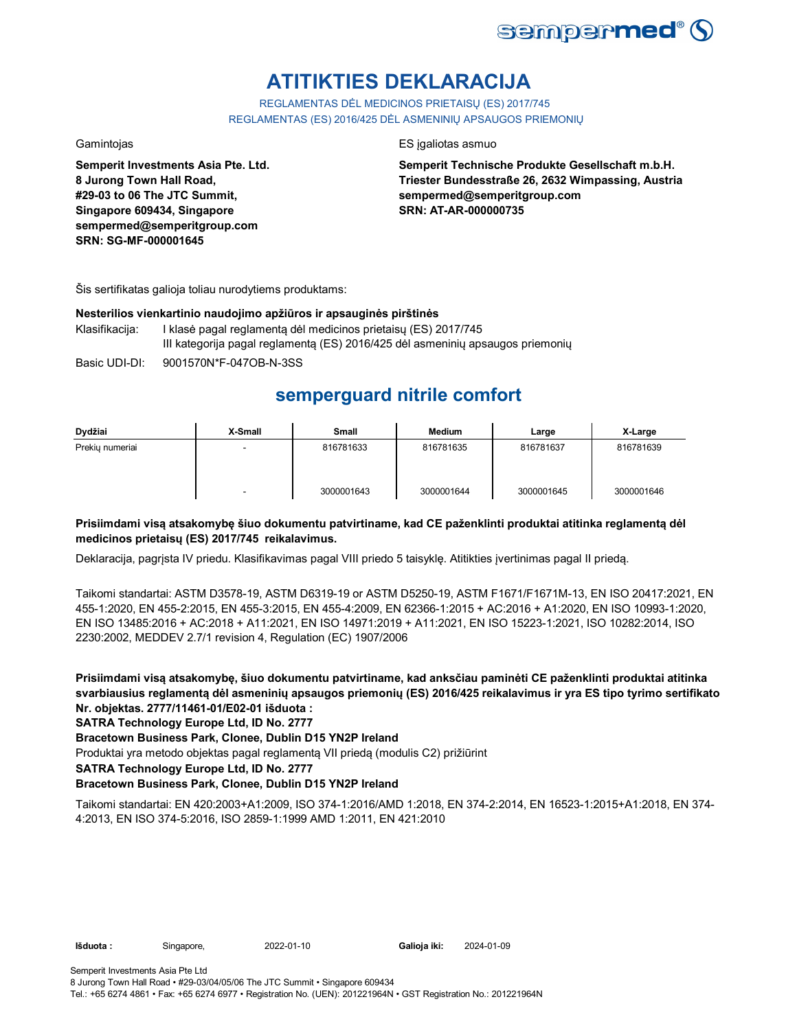

# **ATITIKTIES DEKLARACIJA**

REGLAMENTAS DĖL MEDICINOS PRIETAISŲ (ES) 2017/745 REGLAMENTAS (ES) 2016/425 DĖL ASMENINIŲ APSAUGOS PRIEMONIŲ

**Semperit Investments Asia Pte. Ltd. 8 Jurong Town Hall Road, #29-03 to 06 The JTC Summit, Singapore 609434, Singapore sempermed@semperitgroup.com SRN: SG-MF-000001645**

## Gamintojas ES įgaliotas asmuo

**Semperit Technische Produkte Gesellschaft m.b.H. Triester Bundesstraße 26, 2632 Wimpassing, Austria sempermed@semperitgroup.com SRN: AT-AR-000000735**

Šis sertifikatas galioja toliau nurodytiems produktams:

## **Nesterilios vienkartinio naudojimo apžiūros ir apsauginės pirštinės**

- Klasifikacija: I klasė pagal reglamentą dėl medicinos prietaisų (ES) 2017/745 III kategorija pagal reglamentą (ES) 2016/425 dėl asmeninių apsaugos priemonių
- Basic UDI-DI: 9001570N\*F-047OB-N-3SS

## **semperguard nitrile comfort**

| Dydžiai         | X-Small | <b>Small</b> | Medium     | Large      | X-Large    |
|-----------------|---------|--------------|------------|------------|------------|
| Prekiu numeriai | -       | 816781633    | 816781635  | 816781637  | 816781639  |
|                 | -       | 3000001643   | 3000001644 | 3000001645 | 3000001646 |

## **Prisiimdami visą atsakomybę šiuo dokumentu patvirtiname, kad CE paženklinti produktai atitinka reglamentą dėl medicinos prietaisų (ES) 2017/745 reikalavimus.**

Deklaracija, pagrįsta IV priedu. Klasifikavimas pagal VIII priedo 5 taisyklę. Atitikties įvertinimas pagal II priedą.

Taikomi standartai: ASTM D3578-19, ASTM D6319-19 or ASTM D5250-19, ASTM F1671/F1671M-13, EN ISO 20417:2021, EN 455-1:2020, EN 455-2:2015, EN 455-3:2015, EN 455-4:2009, EN 62366-1:2015 + AC:2016 + A1:2020, EN ISO 10993-1:2020, EN ISO 13485:2016 + AC:2018 + A11:2021, EN ISO 14971:2019 + A11:2021, EN ISO 15223-1:2021, ISO 10282:2014, ISO 2230:2002, MEDDEV 2.7/1 revision 4, Regulation (EC) 1907/2006

**Prisiimdami visą atsakomybę, šiuo dokumentu patvirtiname, kad anksčiau paminėti CE paženklinti produktai atitinka svarbiausius reglamentą dėl asmeninių apsaugos priemonių (ES) 2016/425 reikalavimus ir yra ES tipo tyrimo sertifikato Nr. objektas. 2777/11461-01/E02-01 išduota :**

## **SATRA Technology Europe Ltd, ID No. 2777**

**Bracetown Business Park, Clonee, Dublin D15 YN2P Ireland**

Produktai yra metodo objektas pagal reglamentą VII priedą (modulis C2) prižiūrint

**SATRA Technology Europe Ltd, ID No. 2777**

## **Bracetown Business Park, Clonee, Dublin D15 YN2P Ireland**

Taikomi standartai: EN 420:2003+A1:2009, ISO 374-1:2016/AMD 1:2018, EN 374-2:2014, EN 16523-1:2015+A1:2018, EN 374- 4:2013, EN ISO 374-5:2016, ISO 2859-1:1999 AMD 1:2011, EN 421:2010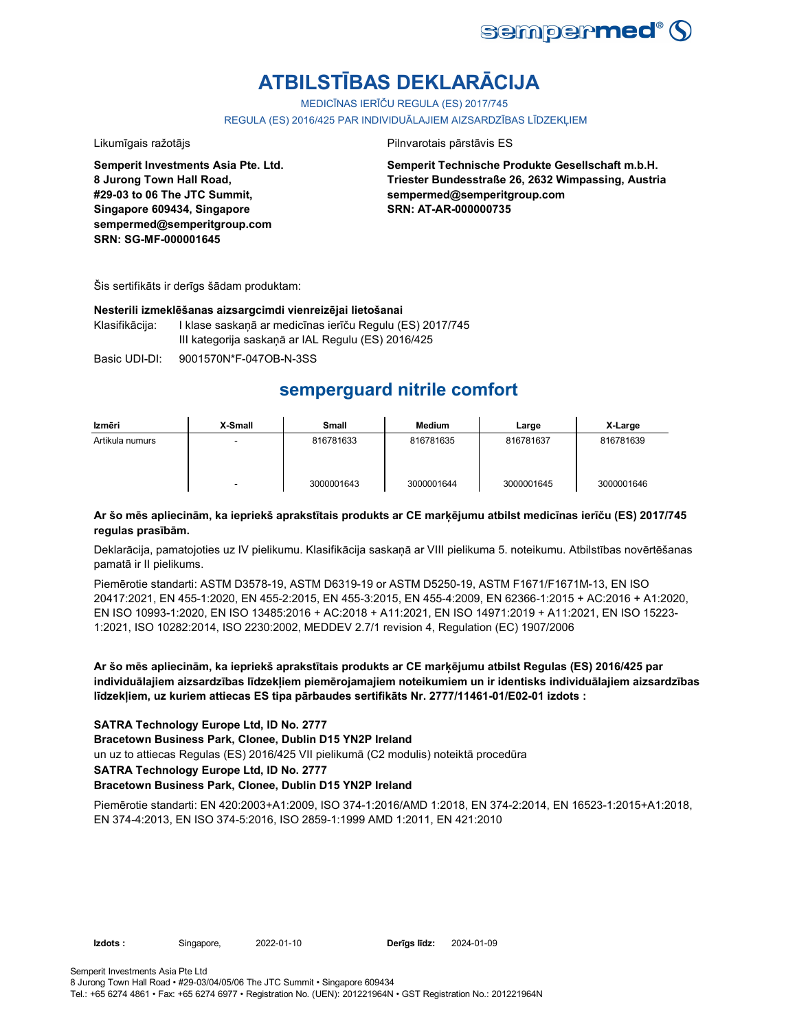

# **ATBILSTĪBAS DEKLARĀCIJA**

MEDICĪNAS IERĪČU REGULA (ES) 2017/745

REGULA (ES) 2016/425 PAR INDIVIDUĀLAJIEM AIZSARDZĪBAS LĪDZEKLIEM

Likumīgais ražotājs **Pilnvarotais pārstāvis ES** 

**Semperit Investments Asia Pte. Ltd. 8 Jurong Town Hall Road, #29-03 to 06 The JTC Summit, Singapore 609434, Singapore sempermed@semperitgroup.com SRN: SG-MF-000001645**

**Semperit Technische Produkte Gesellschaft m.b.H. Triester Bundesstraße 26, 2632 Wimpassing, Austria sempermed@semperitgroup.com SRN: AT-AR-000000735**

Šis sertifikāts ir derīgs šādam produktam:

## **Nesterili izmeklēšanas aizsargcimdi vienreizējai lietošanai**

Klasifikācija: I klase saskaņā ar medicīnas ierīču Regulu (ES) 2017/745 III kategorija saskaņā ar IAL Regulu (ES) 2016/425

Basic UDI-DI: 9001570N\*F-047OB-N-3SS

## **semperguard nitrile comfort**

| Izmēri          | X-Small | Small      | Medium     | Large      | X-Large    |
|-----------------|---------|------------|------------|------------|------------|
| Artikula numurs |         | 816781633  | 816781635  | 816781637  | 816781639  |
|                 |         | 3000001643 | 3000001644 | 3000001645 | 3000001646 |

## **Ar šo mēs apliecinām, ka iepriekš aprakstītais produkts ar CE marķējumu atbilst medicīnas ierīču (ES) 2017/745 regulas prasībām.**

Deklarācija, pamatojoties uz IV pielikumu. Klasifikācija saskaņā ar VIII pielikuma 5. noteikumu. Atbilstības novērtēšanas pamatā ir II pielikums.

Piemērotie standarti: ASTM D3578-19, ASTM D6319-19 or ASTM D5250-19, ASTM F1671/F1671M-13, EN ISO 20417:2021, EN 455-1:2020, EN 455-2:2015, EN 455-3:2015, EN 455-4:2009, EN 62366-1:2015 + AC:2016 + A1:2020, EN ISO 10993-1:2020, EN ISO 13485:2016 + AC:2018 + A11:2021, EN ISO 14971:2019 + A11:2021, EN ISO 15223- 1:2021, ISO 10282:2014, ISO 2230:2002, MEDDEV 2.7/1 revision 4, Regulation (EC) 1907/2006

**Ar šo mēs apliecinām, ka iepriekš aprakstītais produkts ar CE marķējumu atbilst Regulas (ES) 2016/425 par individuālajiem aizsardzības līdzekļiem piemērojamajiem noteikumiem un ir identisks individuālajiem aizsardzības līdzekļiem, uz kuriem attiecas ES tipa pārbaudes sertifikāts Nr. 2777/11461-01/E02-01 izdots :**

## **SATRA Technology Europe Ltd, ID No. 2777**

**Bracetown Business Park, Clonee, Dublin D15 YN2P Ireland**

un uz to attiecas Regulas (ES) 2016/425 VII pielikumā (C2 modulis) noteiktā procedūra

**SATRA Technology Europe Ltd, ID No. 2777**

## **Bracetown Business Park, Clonee, Dublin D15 YN2P Ireland**

Piemērotie standarti: EN 420:2003+A1:2009, ISO 374-1:2016/AMD 1:2018, EN 374-2:2014, EN 16523-1:2015+A1:2018, EN 374-4:2013, EN ISO 374-5:2016, ISO 2859-1:1999 AMD 1:2011, EN 421:2010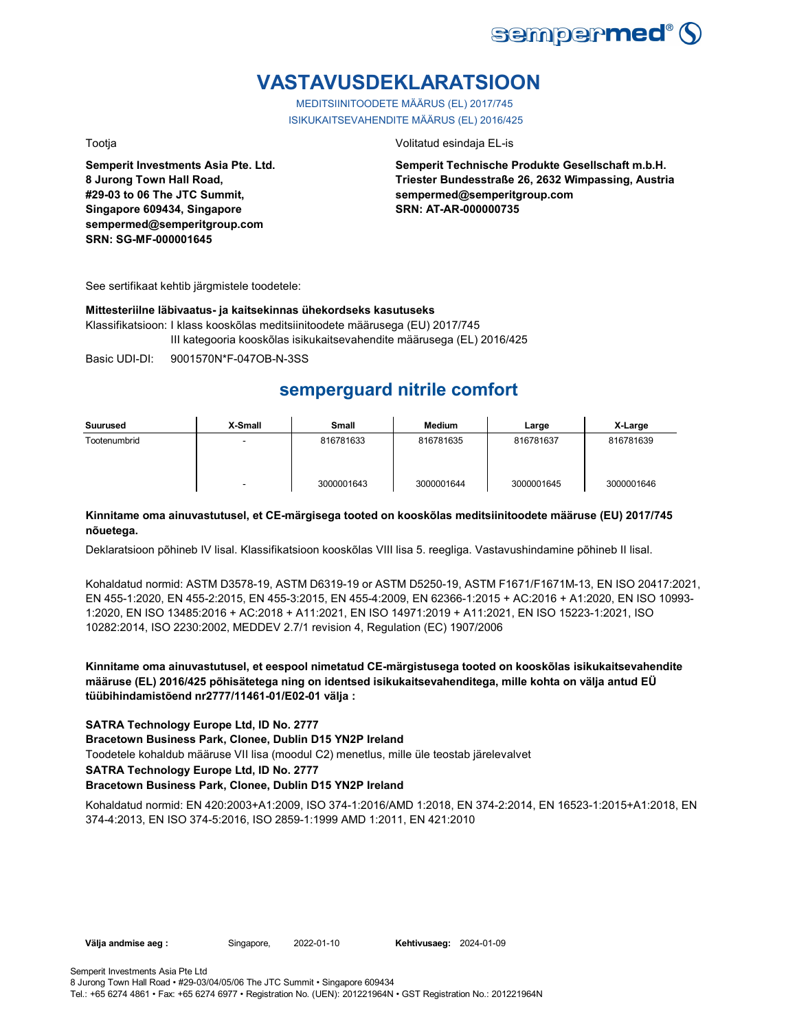

## **VASTAVUSDEKLARATSIOON**

MEDITSIINITOODETE MÄÄRUS (EL) 2017/745 ISIKUKAITSEVAHENDITE MÄÄRUS (EL) 2016/425

**Semperit Investments Asia Pte. Ltd. 8 Jurong Town Hall Road, #29-03 to 06 The JTC Summit, Singapore 609434, Singapore sempermed@semperitgroup.com SRN: SG-MF-000001645**

### Tootja Volitatud esindaja EL-is

**Semperit Technische Produkte Gesellschaft m.b.H. Triester Bundesstraße 26, 2632 Wimpassing, Austria sempermed@semperitgroup.com SRN: AT-AR-000000735**

See sertifikaat kehtib järgmistele toodetele:

## **Mittesteriilne läbivaatus- ja kaitsekinnas ühekordseks kasutuseks**

Klassifikatsioon: I klass kooskõlas meditsiinitoodete määrusega (EU) 2017/745 III kategooria kooskõlas isikukaitsevahendite määrusega (EL) 2016/425

Basic UDI-DI: 9001570N\*F-047OB-N-3SS

## **semperguard nitrile comfort**

| Suurused     | X-Small | Small      | <b>Medium</b> | Large      | X-Large    |
|--------------|---------|------------|---------------|------------|------------|
| Tootenumbrid | ٠       | 816781633  | 816781635     | 816781637  | 816781639  |
|              | ٠       | 3000001643 | 3000001644    | 3000001645 | 3000001646 |

## **Kinnitame oma ainuvastutusel, et CE-märgisega tooted on kooskõlas meditsiinitoodete määruse (EU) 2017/745 nõuetega.**

Deklaratsioon põhineb IV lisal. Klassifikatsioon kooskõlas VIII lisa 5. reegliga. Vastavushindamine põhineb II lisal.

Kohaldatud normid: ASTM D3578-19, ASTM D6319-19 or ASTM D5250-19, ASTM F1671/F1671M-13, EN ISO 20417:2021, EN 455-1:2020, EN 455-2:2015, EN 455-3:2015, EN 455-4:2009, EN 62366-1:2015 + AC:2016 + A1:2020, EN ISO 10993- 1:2020, EN ISO 13485:2016 + AC:2018 + A11:2021, EN ISO 14971:2019 + A11:2021, EN ISO 15223-1:2021, ISO 10282:2014, ISO 2230:2002, MEDDEV 2.7/1 revision 4, Regulation (EC) 1907/2006

**Kinnitame oma ainuvastutusel, et eespool nimetatud CE-märgistusega tooted on kooskõlas isikukaitsevahendite määruse (EL) 2016/425 põhisätetega ning on identsed isikukaitsevahenditega, mille kohta on välja antud EÜ tüübihindamistõend nr2777/11461-01/E02-01 välja :**

## **SATRA Technology Europe Ltd, ID No. 2777**

**Bracetown Business Park, Clonee, Dublin D15 YN2P Ireland**

Toodetele kohaldub määruse VII lisa (moodul C2) menetlus, mille üle teostab järelevalvet

**SATRA Technology Europe Ltd, ID No. 2777**

### **Bracetown Business Park, Clonee, Dublin D15 YN2P Ireland**

Kohaldatud normid: EN 420:2003+A1:2009, ISO 374-1:2016/AMD 1:2018, EN 374-2:2014, EN 16523-1:2015+A1:2018, EN 374-4:2013, EN ISO 374-5:2016, ISO 2859-1:1999 AMD 1:2011, EN 421:2010

**Välja andmise aeg :** Singapore, 2022-01-10 **Kehtivusaeg:** 2024-01-09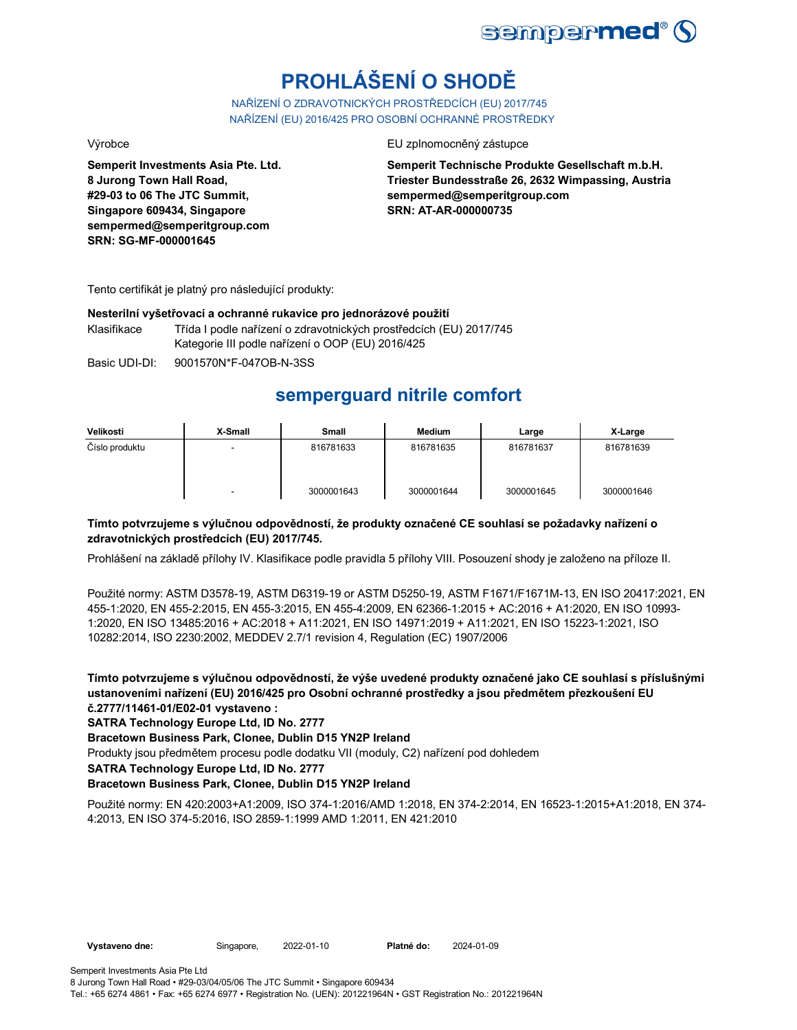

# **PROHLÁŠENÍ O SHODĚ**

NAŘÍZENÍ O ZDRAVOTNICKÝCH PROSTŘEDCÍCH (EU) 2017/745 NAŘÍZENÍ (EU) 2016/425 PRO OSOBNÍ OCHRANNÉ PROSTŘEDKY

**Semperit Investments Asia Pte. Ltd. 8 Jurong Town Hall Road, #29-03 to 06 The JTC Summit, Singapore 609434, Singapore sempermed@semperitgroup.com SRN: SG-MF-000001645**

Výrobce EU zplnomocněný zástupce

**Semperit Technische Produkte Gesellschaft m.b.H. Triester Bundesstraße 26, 2632 Wimpassing, Austria sempermed@semperitgroup.com SRN: AT-AR-000000735**

Tento certifikát je platný pro následující produkty:

## **Nesterilní vyšetřovací a ochranné rukavice pro jednorázové použití**

Klasifikace Třída I podle nařízení o zdravotnických prostředcích (EU) 2017/745 Kategorie III podle nařízení o OOP (EU) 2016/425

Basic UDI-DI: 9001570N\*F-047OB-N-3SS

## **semperguard nitrile comfort**

| Velikosti      | X-Small | Small      | <b>Medium</b> | Large      | X-Large    |
|----------------|---------|------------|---------------|------------|------------|
| Číslo produktu |         | 816781633  | 816781635     | 816781637  | 816781639  |
|                | -       | 3000001643 | 3000001644    | 3000001645 | 3000001646 |

## **Tímto potvrzujeme s výlučnou odpovědností, že produkty označené CE souhlasí se požadavky nařízení o zdravotnických prostředcích (EU) 2017/745.**

Prohlášení na základě přílohy IV. Klasifikace podle pravidla 5 přílohy VIII. Posouzení shody je založeno na příloze II.

Použité normy: ASTM D3578-19, ASTM D6319-19 or ASTM D5250-19, ASTM F1671/F1671M-13, EN ISO 20417:2021, EN 455-1:2020, EN 455-2:2015, EN 455-3:2015, EN 455-4:2009, EN 62366-1:2015 + AC:2016 + A1:2020, EN ISO 10993- 1:2020, EN ISO 13485:2016 + AC:2018 + A11:2021, EN ISO 14971:2019 + A11:2021, EN ISO 15223-1:2021, ISO 10282:2014, ISO 2230:2002, MEDDEV 2.7/1 revision 4, Regulation (EC) 1907/2006

**Tímto potvrzujeme s výlučnou odpovědností, že výše uvedené produkty označené jako CE souhlasí s příslušnými ustanoveními nařízení (EU) 2016/425 pro Osobní ochranné prostředky a jsou předmětem přezkoušení EU č.2777/11461-01/E02-01 vystaveno :**

**SATRA Technology Europe Ltd, ID No. 2777**

**Bracetown Business Park, Clonee, Dublin D15 YN2P Ireland**

Produkty jsou předmětem procesu podle dodatku VII (moduly, C2) nařízení pod dohledem

**SATRA Technology Europe Ltd, ID No. 2777**

## **Bracetown Business Park, Clonee, Dublin D15 YN2P Ireland**

Použité normy: EN 420:2003+A1:2009, ISO 374-1:2016/AMD 1:2018, EN 374-2:2014, EN 16523-1:2015+A1:2018, EN 374- 4:2013, EN ISO 374-5:2016, ISO 2859-1:1999 AMD 1:2011, EN 421:2010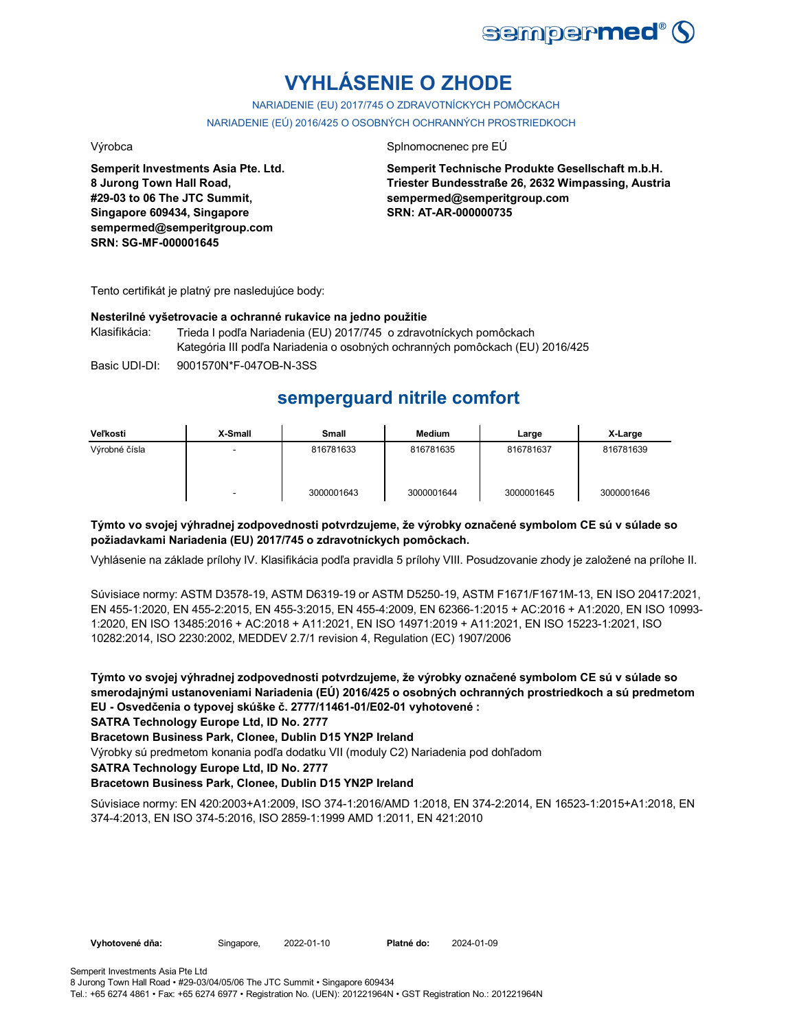

# **VYHLÁSENIE O ZHODE**

NARIADENIE (EU) 2017/745 O ZDRAVOTNÍCKYCH POMÔCKACH NARIADENIE (EÚ) 2016/425 O OSOBNÝCH OCHRANNÝCH PROSTRIEDKOCH

**Semperit Investments Asia Pte. Ltd. 8 Jurong Town Hall Road, #29-03 to 06 The JTC Summit, Singapore 609434, Singapore sempermed@semperitgroup.com SRN: SG-MF-000001645**

### Výrobca **Splnomocnenec pre EÚ**

**Semperit Technische Produkte Gesellschaft m.b.H. Triester Bundesstraße 26, 2632 Wimpassing, Austria sempermed@semperitgroup.com SRN: AT-AR-000000735**

Tento certifikát je platný pre nasledujúce body:

### **Nesterilné vyšetrovacie a ochranné rukavice na jedno použitie**

Klasifikácia: Trieda I podľa Nariadenia (EU) 2017/745 o zdravotníckych pomôckach Kategória III podľa Nariadenia o osobných ochranných pomôckach (EU) 2016/425

Basic UDI-DI: 9001570N\*F-047OB-N-3SS

## **semperguard nitrile comfort**

| Veľkosti      | X-Small | Small      | Medium     | Large      | X-Large    |
|---------------|---------|------------|------------|------------|------------|
| Výrobné čísla |         | 816781633  | 816781635  | 816781637  | 816781639  |
|               | -       | 3000001643 | 3000001644 | 3000001645 | 3000001646 |

## **Týmto vo svojej výhradnej zodpovednosti potvrdzujeme, že výrobky označené symbolom CE sú v súlade so požiadavkami Nariadenia (EU) 2017/745 o zdravotníckych pomôckach.**

Vyhlásenie na základe prílohy IV. Klasifikácia podľa pravidla 5 prílohy VIII. Posudzovanie zhody je založené na prílohe II.

Súvisiace normy: ASTM D3578-19, ASTM D6319-19 or ASTM D5250-19, ASTM F1671/F1671M-13, EN ISO 20417:2021, EN 455-1:2020, EN 455-2:2015, EN 455-3:2015, EN 455-4:2009, EN 62366-1:2015 + AC:2016 + A1:2020, EN ISO 10993- 1:2020, EN ISO 13485:2016 + AC:2018 + A11:2021, EN ISO 14971:2019 + A11:2021, EN ISO 15223-1:2021, ISO 10282:2014, ISO 2230:2002, MEDDEV 2.7/1 revision 4, Regulation (EC) 1907/2006

**Týmto vo svojej výhradnej zodpovednosti potvrdzujeme, že výrobky označené symbolom CE sú v súlade so smerodajnými ustanoveniami Nariadenia (EÚ) 2016/425 o osobných ochranných prostriedkoch a sú predmetom EU - Osvedčenia o typovej skúške č. 2777/11461-01/E02-01 vyhotovené :**

**SATRA Technology Europe Ltd, ID No. 2777**

## **Bracetown Business Park, Clonee, Dublin D15 YN2P Ireland**

Výrobky sú predmetom konania podľa dodatku VII (moduly C2) Nariadenia pod dohľadom

**SATRA Technology Europe Ltd, ID No. 2777**

## **Bracetown Business Park, Clonee, Dublin D15 YN2P Ireland**

Súvisiace normy: EN 420:2003+A1:2009, ISO 374-1:2016/AMD 1:2018, EN 374-2:2014, EN 16523-1:2015+A1:2018, EN 374-4:2013, EN ISO 374-5:2016, ISO 2859-1:1999 AMD 1:2011, EN 421:2010

**Vyhotovené dňa:** Singapore, 2022-01-10 **Platné do:** 2024-01-09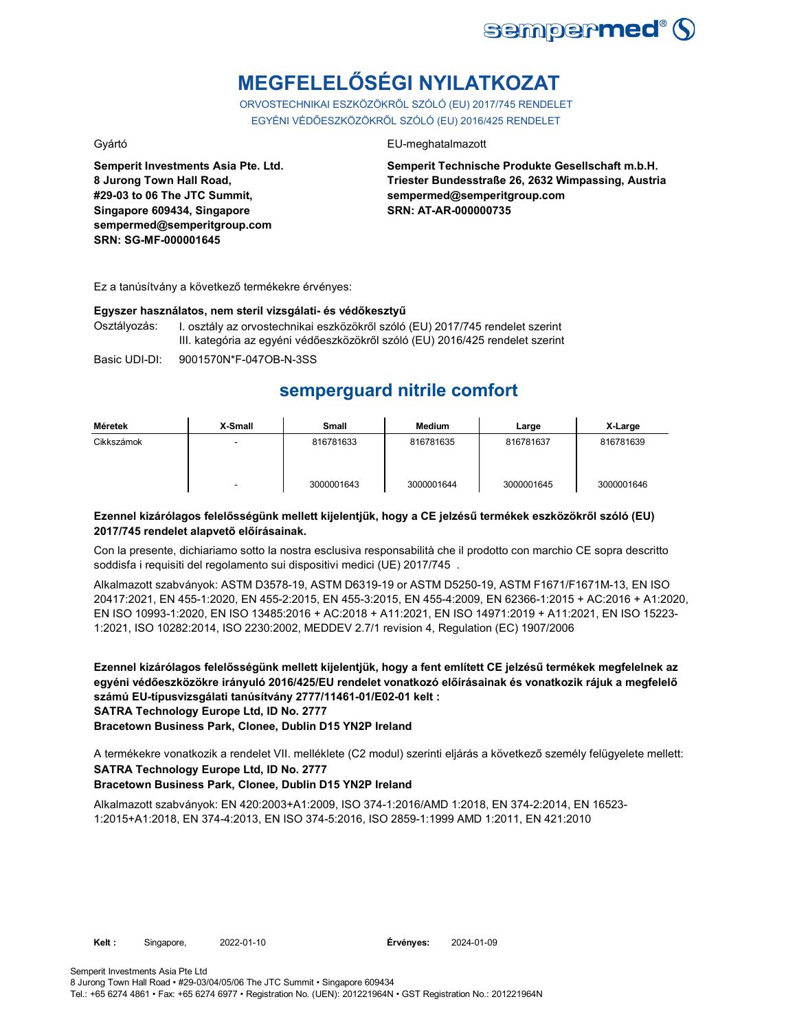

# **MEGFELELŐSÉGI NYILATKOZAT**

ORVOSTECHNIKAI ESZKÖZÖKRŐL SZÓLÓ (EU) 2017/745 RENDELET EGYÉNI VÉDŐESZKÖZÖKRŐL SZÓLÓ (EU) 2016/425 RENDELET

**Semperit Investments Asia Pte. Ltd. 8 Jurong Town Hall Road, #29-03 to 06 The JTC Summit, Singapore 609434, Singapore sempermed@semperitgroup.com SRN: SG-MF-000001645**

## Gyártó EU-meghatalmazott

**Semperit Technische Produkte Gesellschaft m.b.H. Triester Bundesstraße 26, 2632 Wimpassing, Austria sempermed@semperitgroup.com SRN: AT-AR-000000735**

Ez a tanúsítvány a következő termékekre érvényes:

## **Egyszer használatos, nem steril vizsgálati- és védőkesztyű**

Osztályozás: I. osztály az orvostechnikai eszközökről szóló (EU) 2017/745 rendelet szerint III. kategória az egyéni védőeszközökről szóló (EU) 2016/425 rendelet szerint

Basic UDI-DI: 9001570N\*F-047OB-N-3SS

## **semperguard nitrile comfort**

| Méretek    | X-Small | <b>Small</b> | Medium     | Large      | X-Large    |
|------------|---------|--------------|------------|------------|------------|
| Cikkszámok | -       | 816781633    | 816781635  | 816781637  | 816781639  |
|            | -       | 3000001643   | 3000001644 | 3000001645 | 3000001646 |

## **Ezennel kizárólagos felelősségünk mellett kijelentjük, hogy a CE jelzésű termékek eszközökről szóló (EU) 2017/745 rendelet alapvető előírásainak.**

Con la presente, dichiariamo sotto la nostra esclusiva responsabilità che il prodotto con marchio CE sopra descritto soddisfa i requisiti del regolamento sui dispositivi medici (UE) 2017/745 .

Alkalmazott szabványok: ASTM D3578-19, ASTM D6319-19 or ASTM D5250-19, ASTM F1671/F1671M-13, EN ISO 20417:2021, EN 455-1:2020, EN 455-2:2015, EN 455-3:2015, EN 455-4:2009, EN 62366-1:2015 + AC:2016 + A1:2020, EN ISO 10993-1:2020, EN ISO 13485:2016 + AC:2018 + A11:2021, EN ISO 14971:2019 + A11:2021, EN ISO 15223- 1:2021, ISO 10282:2014, ISO 2230:2002, MEDDEV 2.7/1 revision 4, Regulation (EC) 1907/2006

**Ezennel kizárólagos felelősségünk mellett kijelentjük, hogy a fent említett CE jelzésű termékek megfelelnek az egyéni védőeszközökre irányuló 2016/425/EU rendelet vonatkozó előírásainak és vonatkozik rájuk a megfelelő számú EU-típusvizsgálati tanúsítvány 2777/11461-01/E02-01 kelt : SATRA Technology Europe Ltd, ID No. 2777**

**Bracetown Business Park, Clonee, Dublin D15 YN2P Ireland**

**SATRA Technology Europe Ltd, ID No. 2777** A termékekre vonatkozik a rendelet VII. melléklete (C2 modul) szerinti eljárás a következő személy felügyelete mellett:

## **Bracetown Business Park, Clonee, Dublin D15 YN2P Ireland**

Alkalmazott szabványok: EN 420:2003+A1:2009, ISO 374-1:2016/AMD 1:2018, EN 374-2:2014, EN 16523- 1:2015+A1:2018, EN 374-4:2013, EN ISO 374-5:2016, ISO 2859-1:1999 AMD 1:2011, EN 421:2010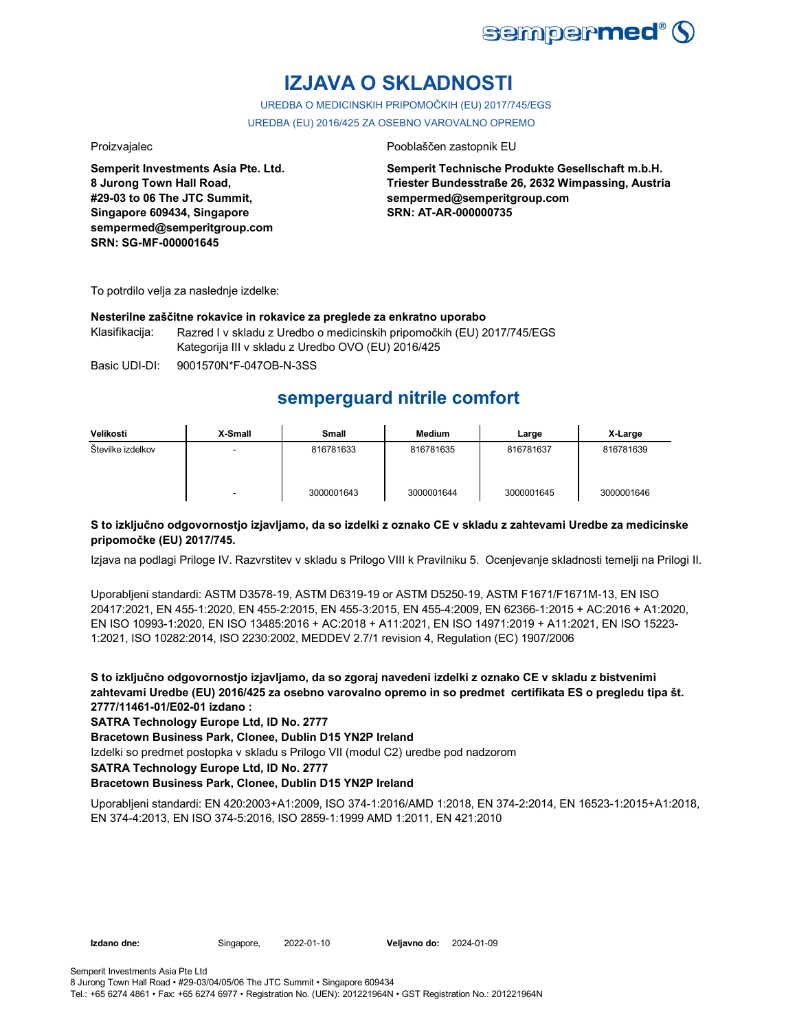

## **IZJAVA O SKLADNOSTI**

UREDBA O MEDICINSKIH PRIPOMOČKIH (EU) 2017/745/EGS UREDBA (EU) 2016/425 ZA OSEBNO VAROVALNO OPREMO

**Semperit Investments Asia Pte. Ltd. 8 Jurong Town Hall Road, #29-03 to 06 The JTC Summit, Singapore 609434, Singapore sempermed@semperitgroup.com SRN: SG-MF-000001645**

## Proizvajalec Pooblaščen zastopnik EU

**Semperit Technische Produkte Gesellschaft m.b.H. Triester Bundesstraße 26, 2632 Wimpassing, Austria sempermed@semperitgroup.com SRN: AT-AR-000000735**

To potrdilo velja za naslednje izdelke:

### **Nesterilne zaščitne rokavice in rokavice za preglede za enkratno uporabo**

Klasifikacija: Razred I v skladu z Uredbo o medicinskih pripomočkih (EU) 2017/745/EGS Kategorija III v skladu z Uredbo OVO (EU) 2016/425

Basic UDI-DI: 9001570N\*F-047OB-N-3SS

## **semperguard nitrile comfort**

| Velikosti         | X-Small | Small      | Medium     | Large      | X-Large    |
|-------------------|---------|------------|------------|------------|------------|
| Številke izdelkov |         | 816781633  | 816781635  | 816781637  | 816781639  |
|                   | -       | 3000001643 | 3000001644 | 3000001645 | 3000001646 |

## **S to izključno odgovornostjo izjavljamo, da so izdelki z oznako CE v skladu z zahtevami Uredbe za medicinske pripomočke (EU) 2017/745.**

Izjava na podlagi Priloge IV. Razvrstitev v skladu s Prilogo VIII k Pravilniku 5. Ocenjevanje skladnosti temelji na Prilogi II.

Uporabljeni standardi: ASTM D3578-19, ASTM D6319-19 or ASTM D5250-19, ASTM F1671/F1671M-13, EN ISO 20417:2021, EN 455-1:2020, EN 455-2:2015, EN 455-3:2015, EN 455-4:2009, EN 62366-1:2015 + AC:2016 + A1:2020, EN ISO 10993-1:2020, EN ISO 13485:2016 + AC:2018 + A11:2021, EN ISO 14971:2019 + A11:2021, EN ISO 15223- 1:2021, ISO 10282:2014, ISO 2230:2002, MEDDEV 2.7/1 revision 4, Regulation (EC) 1907/2006

**S to izključno odgovornostjo izjavljamo, da so zgoraj navedeni izdelki z oznako CE v skladu z bistvenimi zahtevami Uredbe (EU) 2016/425 za osebno varovalno opremo in so predmet certifikata ES o pregledu tipa št. 2777/11461-01/E02-01 izdano :**

**SATRA Technology Europe Ltd, ID No. 2777**

**Bracetown Business Park, Clonee, Dublin D15 YN2P Ireland**

Izdelki so predmet postopka v skladu s Prilogo VII (modul C2) uredbe pod nadzorom

**SATRA Technology Europe Ltd, ID No. 2777**

### **Bracetown Business Park, Clonee, Dublin D15 YN2P Ireland**

Uporabljeni standardi: EN 420:2003+A1:2009, ISO 374-1:2016/AMD 1:2018, EN 374-2:2014, EN 16523-1:2015+A1:2018, EN 374-4:2013, EN ISO 374-5:2016, ISO 2859-1:1999 AMD 1:2011, EN 421:2010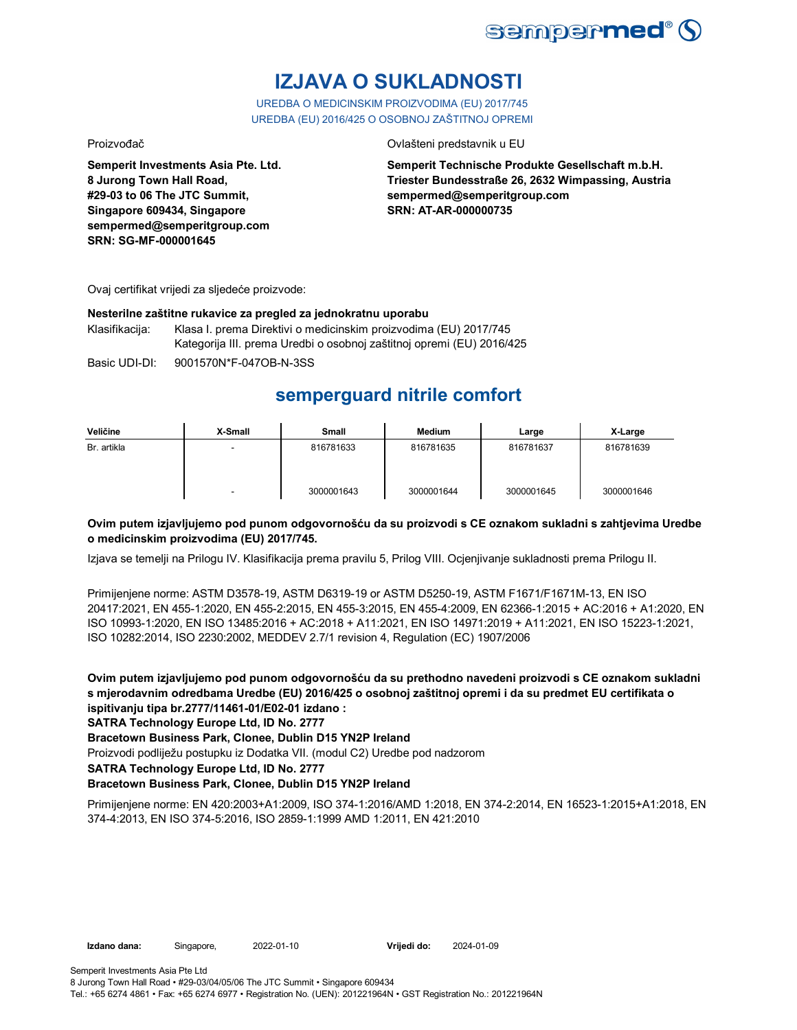

# **IZJAVA O SUKLADNOSTI**

UREDBA O MEDICINSKIM PROIZVODIMA (EU) 2017/745 UREDBA (EU) 2016/425 O OSOBNOJ ZAŠTITNOJ OPREMI

Proizvođač Ovlašteni predstavnik u EU

**Semperit Investments Asia Pte. Ltd. 8 Jurong Town Hall Road, #29-03 to 06 The JTC Summit, Singapore 609434, Singapore sempermed@semperitgroup.com SRN: SG-MF-000001645**

**Semperit Technische Produkte Gesellschaft m.b.H. Triester Bundesstraße 26, 2632 Wimpassing, Austria sempermed@semperitgroup.com SRN: AT-AR-000000735**

Ovaj certifikat vrijedi za sljedeće proizvode:

## **Nesterilne zaštitne rukavice za pregled za jednokratnu uporabu**

Klasifikacija: Klasa I. prema Direktivi o medicinskim proizvodima (EU) 2017/745 Kategorija III. prema Uredbi o osobnoj zaštitnoj opremi (EU) 2016/425

Basic UDI-DI: 9001570N\*F-047OB-N-3SS

## **semperguard nitrile comfort**

| Veličine    | X-Small | Small      | <b>Medium</b> | Large      | X-Large    |
|-------------|---------|------------|---------------|------------|------------|
| Br. artikla | -       | 816781633  | 816781635     | 816781637  | 816781639  |
|             | -       | 3000001643 | 3000001644    | 3000001645 | 3000001646 |

## **Ovim putem izjavljujemo pod punom odgovornošću da su proizvodi s CE oznakom sukladni s zahtjevima Uredbe o medicinskim proizvodima (EU) 2017/745.**

Izjava se temelji na Prilogu IV. Klasifikacija prema pravilu 5, Prilog VIII. Ocjenjivanje sukladnosti prema Prilogu II.

Primijenjene norme: ASTM D3578-19, ASTM D6319-19 or ASTM D5250-19, ASTM F1671/F1671M-13, EN ISO 20417:2021, EN 455-1:2020, EN 455-2:2015, EN 455-3:2015, EN 455-4:2009, EN 62366-1:2015 + AC:2016 + A1:2020, EN ISO 10993-1:2020, EN ISO 13485:2016 + AC:2018 + A11:2021, EN ISO 14971:2019 + A11:2021, EN ISO 15223-1:2021, ISO 10282:2014, ISO 2230:2002, MEDDEV 2.7/1 revision 4, Regulation (EC) 1907/2006

**Ovim putem izjavljujemo pod punom odgovornošću da su prethodno navedeni proizvodi s CE oznakom sukladni s mjerodavnim odredbama Uredbe (EU) 2016/425 o osobnoj zaštitnoj opremi i da su predmet EU certifikata o ispitivanju tipa br.2777/11461-01/E02-01 izdano :**

**SATRA Technology Europe Ltd, ID No. 2777**

**Bracetown Business Park, Clonee, Dublin D15 YN2P Ireland**

Proizvodi podliježu postupku iz Dodatka VII. (modul C2) Uredbe pod nadzorom

**SATRA Technology Europe Ltd, ID No. 2777**

## **Bracetown Business Park, Clonee, Dublin D15 YN2P Ireland**

Primijenjene norme: EN 420:2003+A1:2009, ISO 374-1:2016/AMD 1:2018, EN 374-2:2014, EN 16523-1:2015+A1:2018, EN 374-4:2013, EN ISO 374-5:2016, ISO 2859-1:1999 AMD 1:2011, EN 421:2010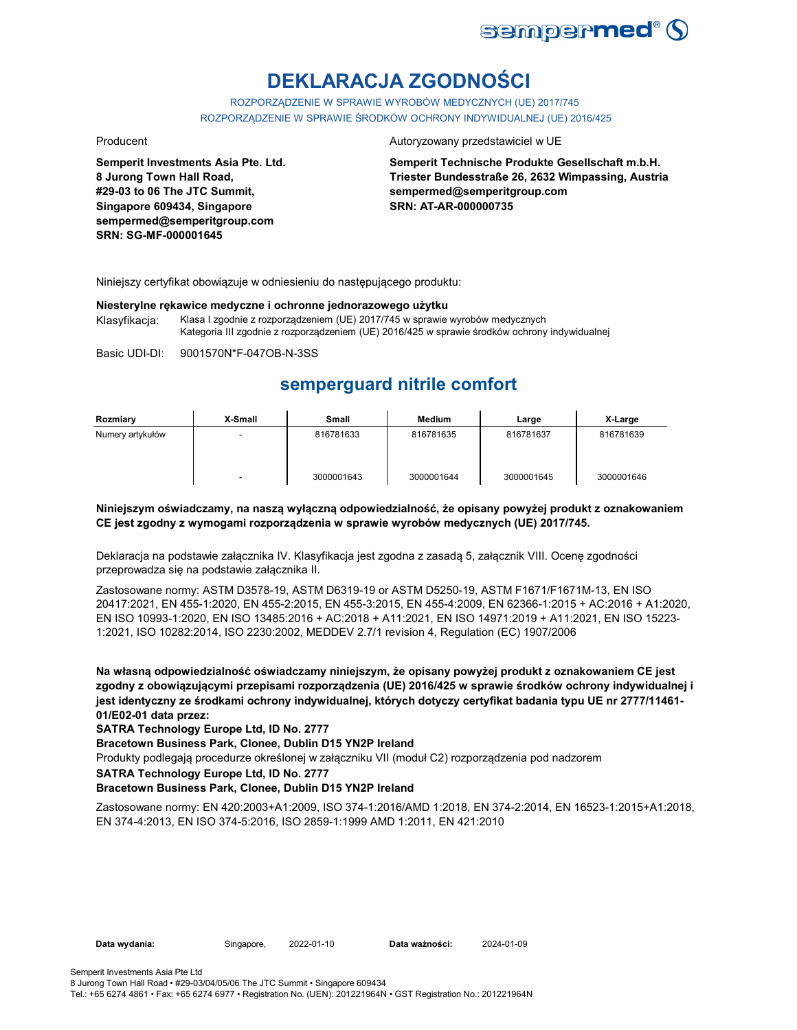

# **DEKLARACJA ZGODNOŚCI**

ROZPORZĄDZENIE W SPRAWIE WYROBÓW MEDYCZNYCH (UE) 2017/745 ROZPORZĄDZENIE W SPRAWIE ŚRODKÓW OCHRONY INDYWIDUALNEJ (UE) 2016/425

**Semperit Investments Asia Pte. Ltd. 8 Jurong Town Hall Road, #29-03 to 06 The JTC Summit, Singapore 609434, Singapore sempermed@semperitgroup.com SRN: SG-MF-000001645**

#### Producent **Autoryzowany przedstawiciel w UE**

**Semperit Technische Produkte Gesellschaft m.b.H. Triester Bundesstraße 26, 2632 Wimpassing, Austria sempermed@semperitgroup.com SRN: AT-AR-000000735**

Niniejszy certyfikat obowiązuje w odniesieniu do następującego produktu:

#### **Niesterylne rękawice medyczne i ochronne jednorazowego użytku**

Klasyfikacja: Klasa I zgodnie z rozporządzeniem (UE) 2017/745 w sprawie wyrobów medycznych Kategoria III zgodnie z rozporządzeniem (UE) 2016/425 w sprawie środków ochrony indywidualnej

Basic UDI-DI: 9001570N\*F-047OB-N-3SS

## **semperguard nitrile comfort**

| Rozmiary         | X-Small | Small      | Medium     | Large      | X-Large    |
|------------------|---------|------------|------------|------------|------------|
| Numery artykułów |         | 816781633  | 816781635  | 816781637  | 816781639  |
|                  | -       | 3000001643 | 3000001644 | 3000001645 | 3000001646 |

### **Niniejszym oświadczamy, na naszą wyłączną odpowiedzialność, że opisany powyżej produkt z oznakowaniem CE jest zgodny z wymogami rozporządzenia w sprawie wyrobów medycznych (UE) 2017/745.**

Deklaracja na podstawie załącznika IV. Klasyfikacja jest zgodna z zasadą 5, załącznik VIII. Ocenę zgodności przeprowadza się na podstawie załącznika II.

Zastosowane normy: ASTM D3578-19, ASTM D6319-19 or ASTM D5250-19, ASTM F1671/F1671M-13, EN ISO 20417:2021, EN 455-1:2020, EN 455-2:2015, EN 455-3:2015, EN 455-4:2009, EN 62366-1:2015 + AC:2016 + A1:2020, EN ISO 10993-1:2020, EN ISO 13485:2016 + AC:2018 + A11:2021, EN ISO 14971:2019 + A11:2021, EN ISO 15223- 1:2021, ISO 10282:2014, ISO 2230:2002, MEDDEV 2.7/1 revision 4, Regulation (EC) 1907/2006

**Na własną odpowiedzialność oświadczamy niniejszym, że opisany powyżej produkt z oznakowaniem CE jest zgodny z obowiązującymi przepisami rozporządzenia (UE) 2016/425 w sprawie środków ochrony indywidualnej i jest identyczny ze środkami ochrony indywidualnej, których dotyczy certyfikat badania typu UE nr 2777/11461- 01/E02-01 data przez:**

**SATRA Technology Europe Ltd, ID No. 2777**

**Bracetown Business Park, Clonee, Dublin D15 YN2P Ireland**

Produkty podlegają procedurze określonej w załączniku VII (moduł C2) rozporządzenia pod nadzorem

**SATRA Technology Europe Ltd, ID No. 2777**

### **Bracetown Business Park, Clonee, Dublin D15 YN2P Ireland**

Zastosowane normy: EN 420:2003+A1:2009, ISO 374-1:2016/AMD 1:2018, EN 374-2:2014, EN 16523-1:2015+A1:2018, EN 374-4:2013, EN ISO 374-5:2016, ISO 2859-1:1999 AMD 1:2011, EN 421:2010

Tel.: +65 6274 4861 • Fax: +65 6274 6977 • Registration No. (UEN): 201221964N • GST Registration No.: 201221964N

**Data wydania:** Singapore, 2022-01-10 **Data ważności:** 2024-01-09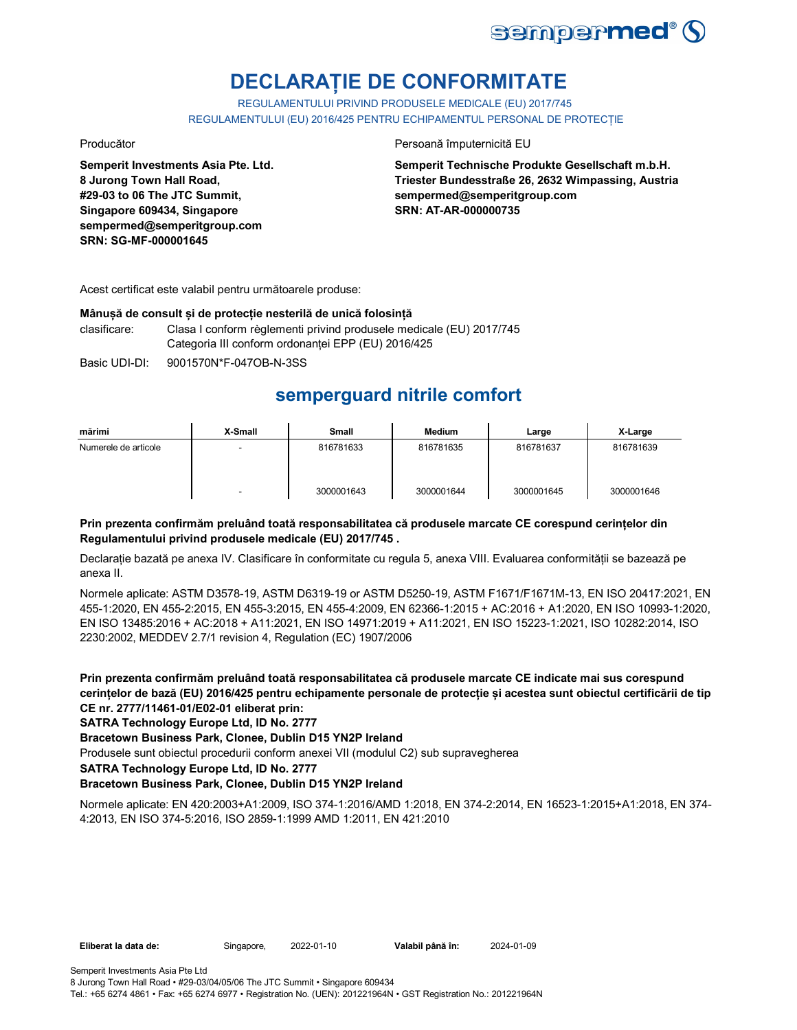

## **DECLARAȚIE DE CONFORMITATE**

REGULAMENTULUI PRIVIND PRODUSELE MEDICALE (EU) 2017/745 REGULAMENTULUI (EU) 2016/425 PENTRU ECHIPAMENTUL PERSONAL DE PROTECȚIE

**Semperit Investments Asia Pte. Ltd. 8 Jurong Town Hall Road, #29-03 to 06 The JTC Summit, Singapore 609434, Singapore sempermed@semperitgroup.com SRN: SG-MF-000001645**

Producător **Producător** Persoană împuternicită EU

**Semperit Technische Produkte Gesellschaft m.b.H. Triester Bundesstraße 26, 2632 Wimpassing, Austria sempermed@semperitgroup.com SRN: AT-AR-000000735**

Acest certificat este valabil pentru următoarele produse:

## **Mânușă de consult și de protecție nesterilă de unică folosință**

clasificare: Clasa I conform règlementi privind produsele medicale (EU) 2017/745 Categoria III conform ordonanței EPP (EU) 2016/425

Basic UDI-DI: 9001570N\*F-047OB-N-3SS

## **semperguard nitrile comfort**

| mărimi               | X-Small | <b>Small</b> | <b>Medium</b> | Large      | X-Large    |
|----------------------|---------|--------------|---------------|------------|------------|
| Numerele de articole | -       | 816781633    | 816781635     | 816781637  | 816781639  |
|                      | ۰       | 3000001643   | 3000001644    | 3000001645 | 3000001646 |

## **Prin prezenta confirmăm preluând toată responsabilitatea că produsele marcate CE corespund cerințelor din Regulamentului privind produsele medicale (EU) 2017/745 .**

Declarație bazată pe anexa IV. Clasificare în conformitate cu regula 5, anexa VIII. Evaluarea conformității se bazează pe anexa II.

Normele aplicate: ASTM D3578-19, ASTM D6319-19 or ASTM D5250-19, ASTM F1671/F1671M-13, EN ISO 20417:2021, EN 455-1:2020, EN 455-2:2015, EN 455-3:2015, EN 455-4:2009, EN 62366-1:2015 + AC:2016 + A1:2020, EN ISO 10993-1:2020, EN ISO 13485:2016 + AC:2018 + A11:2021, EN ISO 14971:2019 + A11:2021, EN ISO 15223-1:2021, ISO 10282:2014, ISO 2230:2002, MEDDEV 2.7/1 revision 4, Regulation (EC) 1907/2006

**Prin prezenta confirmăm preluând toată responsabilitatea că produsele marcate CE indicate mai sus corespund cerințelor de bază (EU) 2016/425 pentru echipamente personale de protecție și acestea sunt obiectul certificării de tip CE nr. 2777/11461-01/E02-01 eliberat prin:**

## **SATRA Technology Europe Ltd, ID No. 2777**

**Bracetown Business Park, Clonee, Dublin D15 YN2P Ireland**

Produsele sunt obiectul procedurii conform anexei VII (modulul C2) sub supravegherea

**SATRA Technology Europe Ltd, ID No. 2777**

## **Bracetown Business Park, Clonee, Dublin D15 YN2P Ireland**

Normele aplicate: EN 420:2003+A1:2009, ISO 374-1:2016/AMD 1:2018, EN 374-2:2014, EN 16523-1:2015+A1:2018, EN 374- 4:2013, EN ISO 374-5:2016, ISO 2859-1:1999 AMD 1:2011, EN 421:2010

|  | Eliberat la data de: |  |
|--|----------------------|--|
|--|----------------------|--|

**Eliberat la data de:** Singapore, 2022-01-10 **Valabil până în:** 2024-01-09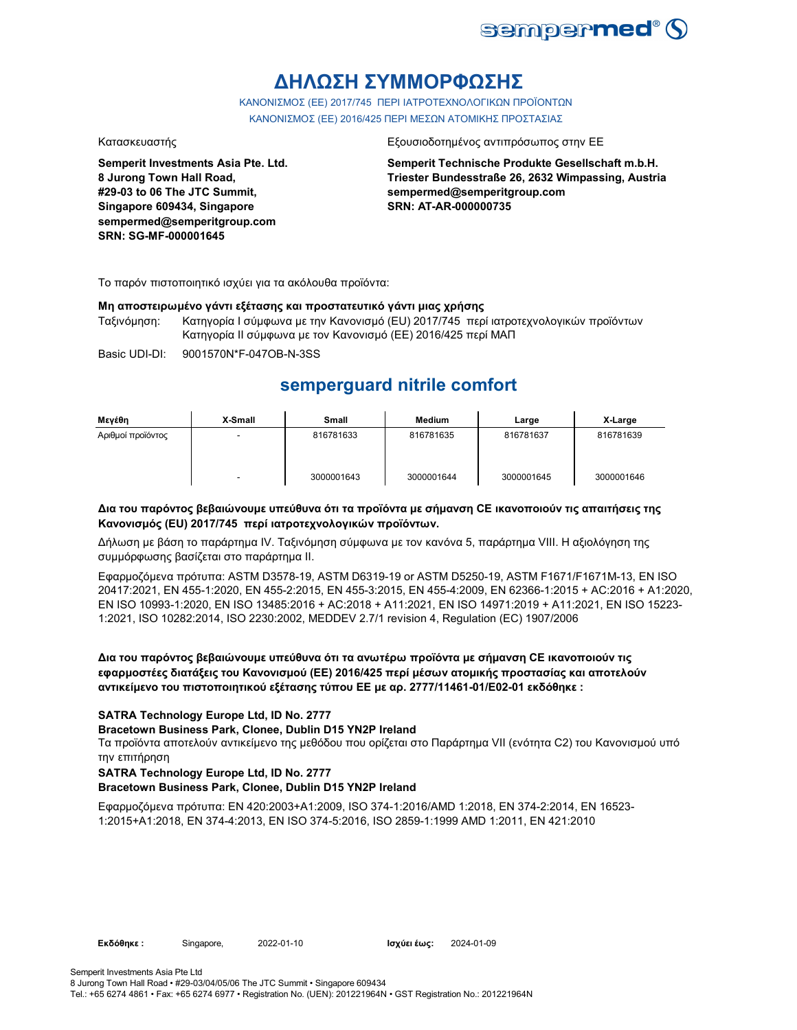

## **ΔΗΛΩΣΗ ΣΥΜΜΟΡΦΩΣΗΣ**

ΚΑΝΟΝΙΣΜΟΣ (EE) 2017/745 ΠΕΡΙ ΙΑΤΡΟΤΕΧΝΟΛΟΓΙΚΩΝ ΠΡΟΪΟΝΤΩΝ ΚΑΝΟΝΙΣΜΟΣ (ΕΕ) 2016/425 ΠΕΡΙ ΜΕΣΩΝ ΑΤΟΜΙΚΗΣ ΠΡΟΣΤΑΣΙΑΣ

**Semperit Investments Asia Pte. Ltd. 8 Jurong Town Hall Road, #29-03 to 06 The JTC Summit, Singapore 609434, Singapore sempermed@semperitgroup.com SRN: SG-MF-000001645**

### Κατασκευαστής Εξουσιοδοτημένος αντιπρόσωπος στην ΕΕ

**Semperit Technische Produkte Gesellschaft m.b.H. Triester Bundesstraße 26, 2632 Wimpassing, Austria sempermed@semperitgroup.com SRN: AT-AR-000000735**

Το παρόν πιστοποιητικό ισχύει για τα ακόλουθα προϊόντα:

## **Μη αποστειρωμένο γάντι εξέτασης και προστατευτικό γάντι μιας χρήσης**

Ταξινόμηση: Κατηγορία I σύμφωνα με την Κανονισμό (EU) 2017/745 περί ιατροτεχνολογικών προϊόντων Κατηγορία II σύμφωνα με τον Κανονισμό (ΕΕ) 2016/425 περί ΜΑΠ

Basic UDI-DI: 9001570N\*F-047OB-N-3SS

## **semperguard nitrile comfort**

| Μεγέθη            | X-Small | <b>Small</b> | <b>Medium</b> | Large      | X-Large    |
|-------------------|---------|--------------|---------------|------------|------------|
| Αριθμοί προϊόντος |         | 816781633    | 816781635     | 816781637  | 816781639  |
|                   |         | 3000001643   | 3000001644    | 3000001645 | 3000001646 |

## **Δια του παρόντος βεβαιώνουμε υπεύθυνα ότι τα προϊόντα με σήμανση CE ικανοποιούν τις απαιτήσεις της Κανονισμός (EU) 2017/745 περί ιατροτεχνολογικών προϊόντων.**

Δήλωση με βάση το παράρτημα IV. Ταξινόμηση σύμφωνα με τον κανόνα 5, παράρτημα VIII. Η αξιολόγηση της συμμόρφωσης βασίζεται στο παράρτημα II.

Εφαρμοζόμενα πρότυπα: ASTM D3578-19, ASTM D6319-19 or ASTM D5250-19, ASTM F1671/F1671M-13, EN ISO 20417:2021, EN 455-1:2020, EN 455-2:2015, EN 455-3:2015, EN 455-4:2009, EN 62366-1:2015 + AC:2016 + A1:2020, EN ISO 10993-1:2020, EN ISO 13485:2016 + AC:2018 + A11:2021, EN ISO 14971:2019 + A11:2021, EN ISO 15223- 1:2021, ISO 10282:2014, ISO 2230:2002, MEDDEV 2.7/1 revision 4, Regulation (EC) 1907/2006

**Δια του παρόντος βεβαιώνουμε υπεύθυνα ότι τα ανωτέρω προϊόντα με σήμανση CE ικανοποιούν τις εφαρμοστέες διατάξεις του Κανονισμού (ΕΕ) 2016/425 περί μέσων ατομικής προστασίας και αποτελούν αντικείμενο του πιστοποιητικού εξέτασης τύπου ΕΕ με αρ. 2777/11461-01/E02-01 εκδόθηκε :**

## **SATRA Technology Europe Ltd, ID No. 2777**

## **Bracetown Business Park, Clonee, Dublin D15 YN2P Ireland**

Τα προϊόντα αποτελούν αντικείμενο της μεθόδου που ορίζεται στο Παράρτημα VII (ενότητα C2) του Κανονισμού υπό την επιτήρηση

## **SATRA Technology Europe Ltd, ID No. 2777**

## **Bracetown Business Park, Clonee, Dublin D15 YN2P Ireland**

Εφαρμοζόμενα πρότυπα: EN 420:2003+A1:2009, ISO 374-1:2016/AMD 1:2018, EN 374-2:2014, EN 16523- 1:2015+A1:2018, EN 374-4:2013, EN ISO 374-5:2016, ISO 2859-1:1999 AMD 1:2011, EN 421:2010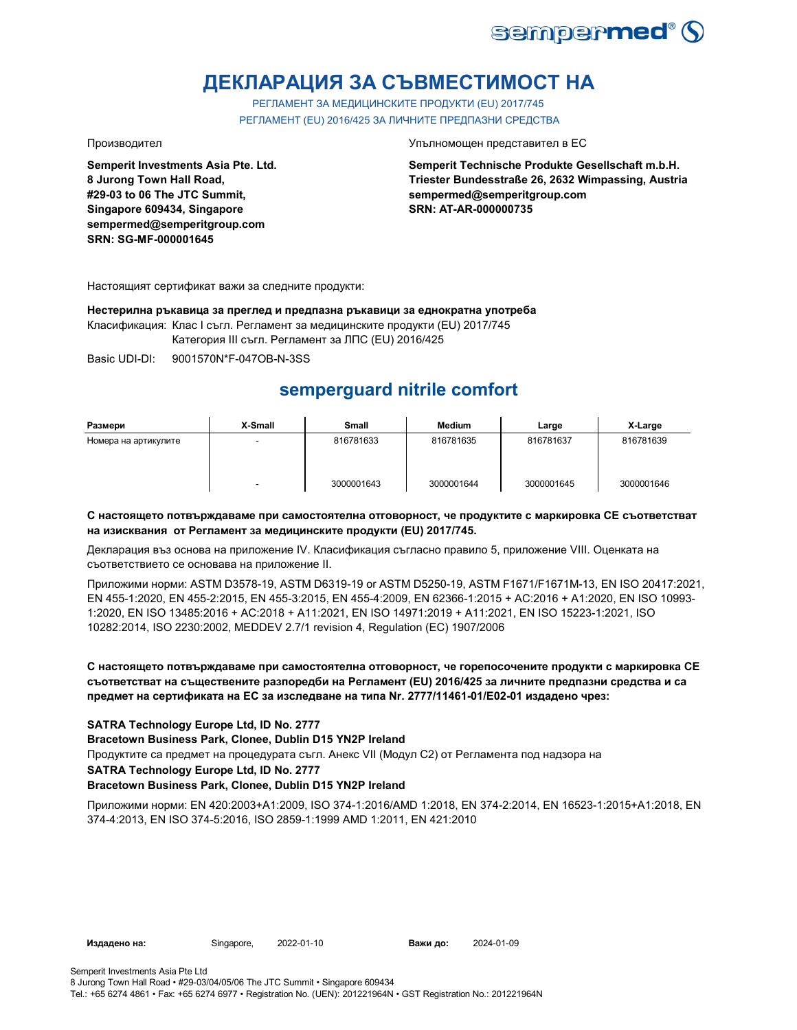

## **ДЕКЛАРАЦИЯ ЗА СЪВМЕСТИМОСТ НА**

РЕГЛАМЕНТ ЗА МЕДИЦИНСКИТЕ ПРОДУКТИ (EU) 2017/745 РЕГЛАМЕНТ (EU) 2016/425 ЗА ЛИЧНИТЕ ПРЕДПАЗНИ СРЕДСТВА

**Semperit Investments Asia Pte. Ltd. 8 Jurong Town Hall Road, #29-03 to 06 The JTC Summit, Singapore 609434, Singapore sempermed@semperitgroup.com SRN: SG-MF-000001645**

Производител Упълномощен представител в ЕС

**Semperit Technische Produkte Gesellschaft m.b.H. Triester Bundesstraße 26, 2632 Wimpassing, Austria sempermed@semperitgroup.com SRN: AT-AR-000000735**

Настоящият сертификат важи за следните продукти:

**Нестерилна ръкавица за преглед и предпазна ръкавици за еднократна употреба**

Класификация: Клас I съгл. Регламент за медицинските продукти (EU) 2017/745

Категория III съгл. Регламент за ЛПС (EU) 2016/425

Basic UDI-DI: 9001570N\*F-047OB-N-3SS

## **semperguard nitrile comfort**

| Размери              | X-Small | Small      | <b>Medium</b> | Large      | X-Large    |
|----------------------|---------|------------|---------------|------------|------------|
| Номера на артикулите | -       | 816781633  | 816781635     | 816781637  | 816781639  |
|                      | -       | 3000001643 | 3000001644    | 3000001645 | 3000001646 |

## **С настоящето потвърждаваме при самостоятелна отговорност, че продуктите с маркировка СЕ съответстват на изисквания от Регламент за медицинските продукти (EU) 2017/745.**

Декларация въз основа на приложение IV. Класификация съгласно правило 5, приложение VIII. Оценката на съответствието се основава на приложение II.

Приложими норми: ASTM D3578-19, ASTM D6319-19 or ASTM D5250-19, ASTM F1671/F1671M-13, EN ISO 20417:2021, EN 455-1:2020, EN 455-2:2015, EN 455-3:2015, EN 455-4:2009, EN 62366-1:2015 + AC:2016 + A1:2020, EN ISO 10993- 1:2020, EN ISO 13485:2016 + AC:2018 + A11:2021, EN ISO 14971:2019 + A11:2021, EN ISO 15223-1:2021, ISO 10282:2014, ISO 2230:2002, MEDDEV 2.7/1 revision 4, Regulation (EC) 1907/2006

**С настоящето потвърждаваме при самостоятелна отговорност, че горепосочените продукти с маркировка СЕ съответстват на съществените разпоредби на Регламент (EU) 2016/425 за личните предпазни средства и са предмет на сертификата на ЕС за изследване на типа Nr. 2777/11461-01/E02-01 издадено чрез:**

## **SATRA Technology Europe Ltd, ID No. 2777**

**Bracetown Business Park, Clonee, Dublin D15 YN2P Ireland**

Продуктите са предмет на процедурата съгл. Анекс VII (Модул С2) от Регламента под надзора на

**SATRA Technology Europe Ltd, ID No. 2777**

## **Bracetown Business Park, Clonee, Dublin D15 YN2P Ireland**

Приложими норми: EN 420:2003+A1:2009, ISO 374-1:2016/AMD 1:2018, EN 374-2:2014, EN 16523-1:2015+A1:2018, EN 374-4:2013, EN ISO 374-5:2016, ISO 2859-1:1999 AMD 1:2011, EN 421:2010

**Издадено на:** Singapore, 2022-01-10 **Важи до:** 2024-01-09